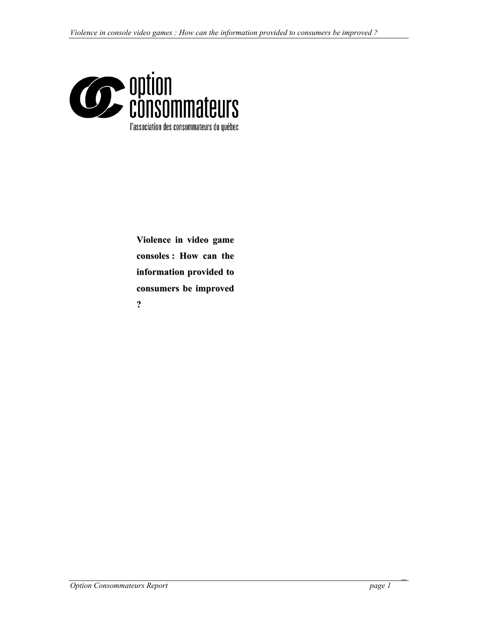

**Violence in video game consoles : How can the information provided to consumers be improved ?**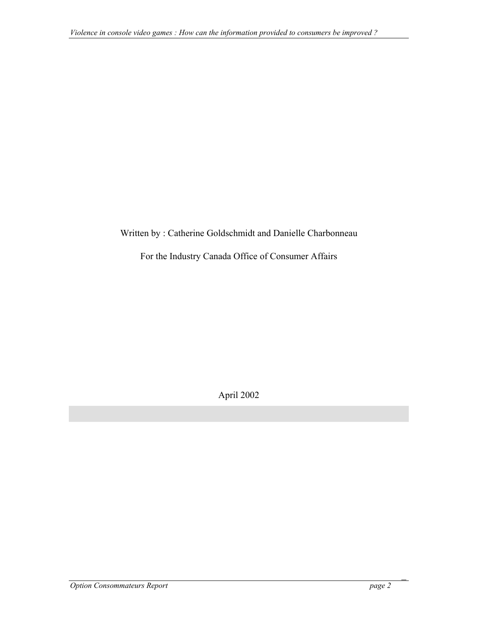## Written by : Catherine Goldschmidt and Danielle Charbonneau

For the Industry Canada Office of Consumer Affairs

April 2002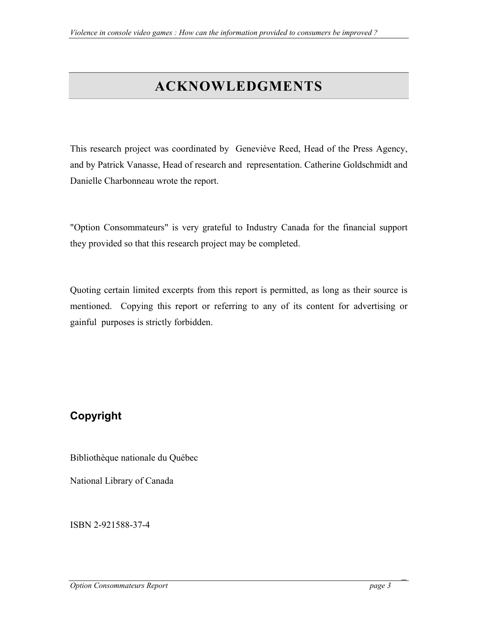# **ACKNOWLEDGMENTS**

<span id="page-2-0"></span>This research project was coordinated by Geneviève Reed, Head of the Press Agency, and by Patrick Vanasse, Head of research and representation. Catherine Goldschmidt and Danielle Charbonneau wrote the report.

"Option Consommateurs" is very grateful to Industry Canada for the financial support they provided so that this research project may be completed.

Quoting certain limited excerpts from this report is permitted, as long as their source is mentioned. Copying this report or referring to any of its content for advertising or gainful purposes is strictly forbidden.

# **Copyright**

Bibliothèque nationale du Québec

National Library of Canada

ISBN 2-921588-37-4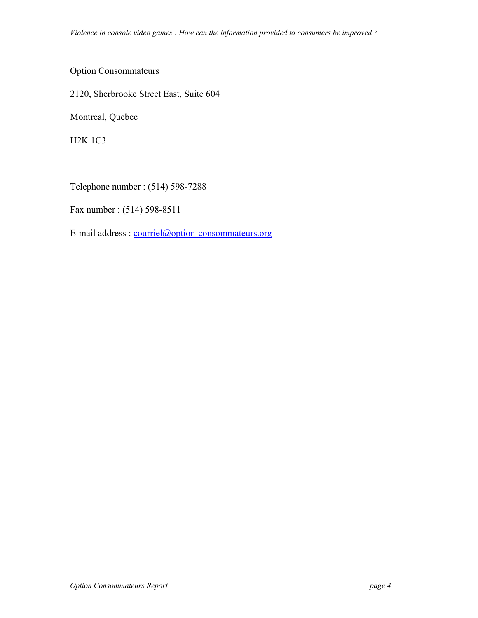Option Consommateurs

2120, Sherbrooke Street East, Suite 604

Montreal, Quebec

H2K 1C3

Telephone number : (514) 598-7288

Fax number : (514) 598-8511

E-mail address : [courriel@option-consommateurs.org](mailto:courriel@option-consommateurs.org)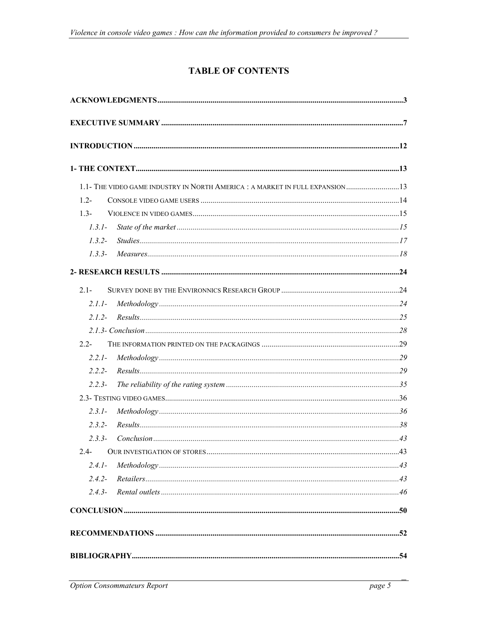## **TABLE OF CONTENTS**

| 1.1- THE VIDEO GAME INDUSTRY IN NORTH AMERICA : A MARKET IN FULL EXPANSION  13 |  |
|--------------------------------------------------------------------------------|--|
| $1.2 -$                                                                        |  |
| $13-$                                                                          |  |
| $1.3.1-$                                                                       |  |
| $1.3.2-$                                                                       |  |
| $1.3.3-$                                                                       |  |
|                                                                                |  |
| $21 -$                                                                         |  |
| $211-$                                                                         |  |
| $212-$                                                                         |  |
|                                                                                |  |
| $2.2 -$                                                                        |  |
| $2.2.1-$                                                                       |  |
| 2.2.2                                                                          |  |
| $2.2.3-$                                                                       |  |
|                                                                                |  |
| $2.3.1 -$                                                                      |  |
| $2.3.2 -$                                                                      |  |
| $2.3.3-$                                                                       |  |
| $2.4 -$                                                                        |  |
| $2.4.1-$                                                                       |  |
| $2.4.2-$                                                                       |  |
| $2.4.3-$                                                                       |  |
|                                                                                |  |
|                                                                                |  |
|                                                                                |  |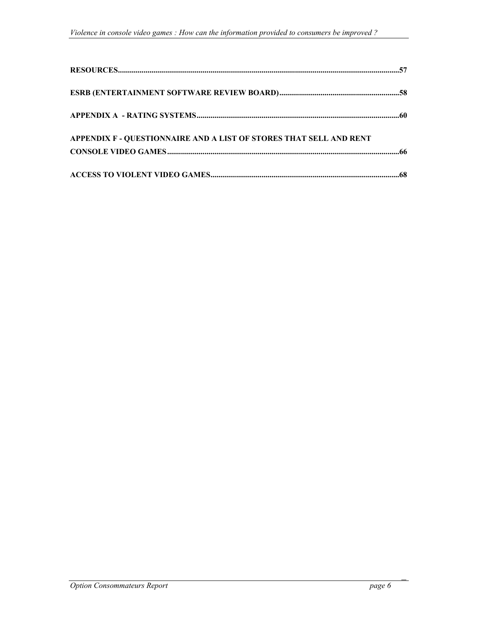| APPENDIX F - QUESTIONNAIRE AND A LIST OF STORES THAT SELL AND RENT |  |
|--------------------------------------------------------------------|--|
|                                                                    |  |
|                                                                    |  |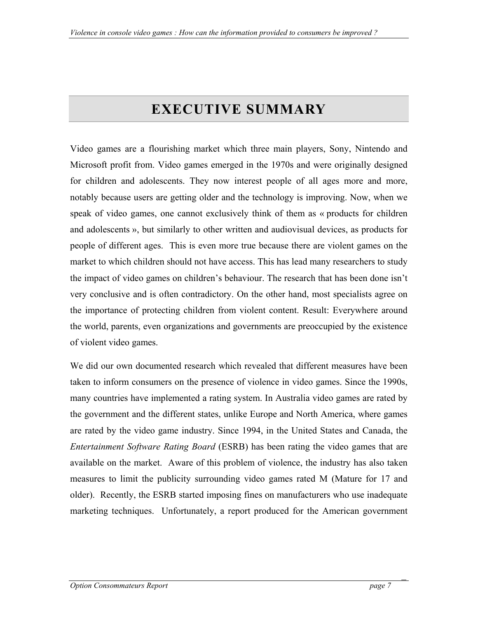# **EXECUTIVE SUMMARY**

<span id="page-6-0"></span>Video games are a flourishing market which three main players, Sony, Nintendo and Microsoft profit from. Video games emerged in the 1970s and were originally designed for children and adolescents. They now interest people of all ages more and more, notably because users are getting older and the technology is improving. Now, when we speak of video games, one cannot exclusively think of them as « products for children and adolescents », but similarly to other written and audiovisual devices, as products for people of different ages. This is even more true because there are violent games on the market to which children should not have access. This has lead many researchers to study the impact of video games on children's behaviour. The research that has been done isn't very conclusive and is often contradictory. On the other hand, most specialists agree on the importance of protecting children from violent content. Result: Everywhere around the world, parents, even organizations and governments are preoccupied by the existence of violent video games.

We did our own documented research which revealed that different measures have been taken to inform consumers on the presence of violence in video games. Since the 1990s, many countries have implemented a rating system. In Australia video games are rated by the government and the different states, unlike Europe and North America, where games are rated by the video game industry. Since 1994, in the United States and Canada, the *Entertainment Software Rating Board* (ESRB) has been rating the video games that are available on the market. Aware of this problem of violence, the industry has also taken measures to limit the publicity surrounding video games rated M (Mature for 17 and older). Recently, the ESRB started imposing fines on manufacturers who use inadequate marketing techniques. Unfortunately, a report produced for the American government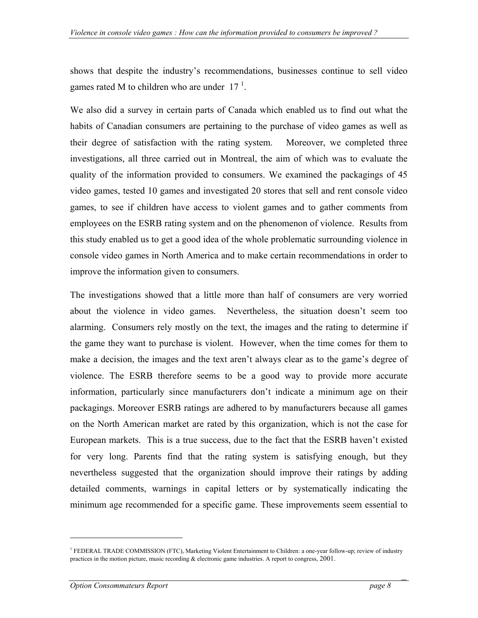shows that despite the industry's recommendations, businesses continue to sell video games rated M to children who are under  $17<sup>1</sup>$ .

We also did a survey in certain parts of Canada which enabled us to find out what the habits of Canadian consumers are pertaining to the purchase of video games as well as their degree of satisfaction with the rating system. Moreover, we completed three investigations, all three carried out in Montreal, the aim of which was to evaluate the quality of the information provided to consumers. We examined the packagings of 45 video games, tested 10 games and investigated 20 stores that sell and rent console video games, to see if children have access to violent games and to gather comments from employees on the ESRB rating system and on the phenomenon of violence. Results from this study enabled us to get a good idea of the whole problematic surrounding violence in console video games in North America and to make certain recommendations in order to improve the information given to consumers.

The investigations showed that a little more than half of consumers are very worried about the violence in video games. Nevertheless, the situation doesn't seem too alarming. Consumers rely mostly on the text, the images and the rating to determine if the game they want to purchase is violent. However, when the time comes for them to make a decision, the images and the text aren't always clear as to the game's degree of violence. The ESRB therefore seems to be a good way to provide more accurate information, particularly since manufacturers don't indicate a minimum age on their packagings. Moreover ESRB ratings are adhered to by manufacturers because all games on the North American market are rated by this organization, which is not the case for European markets. This is a true success, due to the fact that the ESRB haven't existed for very long. Parents find that the rating system is satisfying enough, but they nevertheless suggested that the organization should improve their ratings by adding detailed comments, warnings in capital letters or by systematically indicating the minimum age recommended for a specific game. These improvements seem essential to

 $\overline{a}$ 

<span id="page-7-0"></span><sup>&</sup>lt;sup>1</sup> FEDERAL TRADE COMMISSION (FTC), Marketing Violent Entertainment to Children: a one-year follow-up; review of industry practices in the motion picture, music recording & electronic game industries. A report to congress, 2001.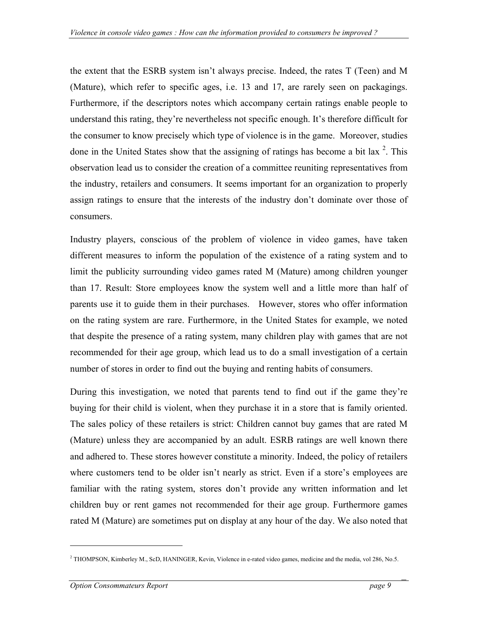the extent that the ESRB system isn't always precise. Indeed, the rates T (Teen) and M (Mature), which refer to specific ages, i.e. 13 and 17, are rarely seen on packagings. Furthermore, if the descriptors notes which accompany certain ratings enable people to understand this rating, they're nevertheless not specific enough. It's therefore difficult for the consumer to know precisely which type of violence is in the game. Moreover, studies done in the United States show that the assigning of ratings has become a bit lax  $2$ [.](#page-8-0) This observation lead us to consider the creation of a committee reuniting representatives from the industry, retailers and consumers. It seems important for an organization to properly assign ratings to ensure that the interests of the industry don't dominate over those of consumers.

Industry players, conscious of the problem of violence in video games, have taken different measures to inform the population of the existence of a rating system and to limit the publicity surrounding video games rated M (Mature) among children younger than 17. Result: Store employees know the system well and a little more than half of parents use it to guide them in their purchases. However, stores who offer information on the rating system are rare. Furthermore, in the United States for example, we noted that despite the presence of a rating system, many children play with games that are not recommended for their age group, which lead us to do a small investigation of a certain number of stores in order to find out the buying and renting habits of consumers.

During this investigation, we noted that parents tend to find out if the game they're buying for their child is violent, when they purchase it in a store that is family oriented. The sales policy of these retailers is strict: Children cannot buy games that are rated M (Mature) unless they are accompanied by an adult. ESRB ratings are well known there and adhered to. These stores however constitute a minority. Indeed, the policy of retailers where customers tend to be older isn't nearly as strict. Even if a store's employees are familiar with the rating system, stores don't provide any written information and let children buy or rent games not recommended for their age group. Furthermore games rated M (Mature) are sometimes put on display at any hour of the day. We also noted that

 $\overline{a}$ 

<span id="page-8-0"></span><sup>&</sup>lt;sup>2</sup> THOMPSON, Kimberley M., ScD, HANINGER, Kevin, Violence in e-rated video games, medicine and the media, vol 286, No.5.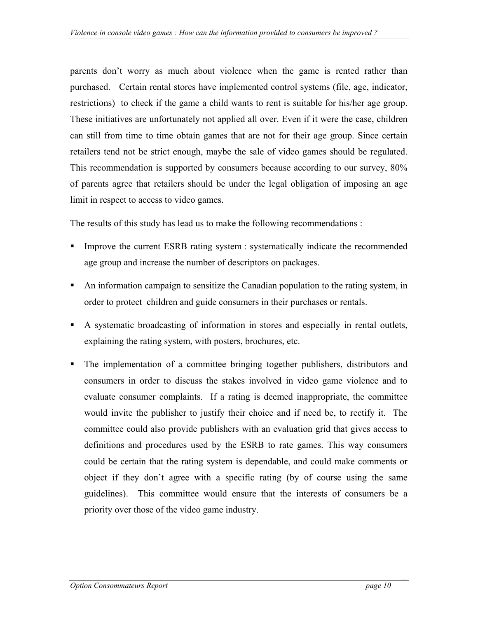parents don't worry as much about violence when the game is rented rather than purchased. Certain rental stores have implemented control systems (file, age, indicator, restrictions) to check if the game a child wants to rent is suitable for his/her age group. These initiatives are unfortunately not applied all over. Even if it were the case, children can still from time to time obtain games that are not for their age group. Since certain retailers tend not be strict enough, maybe the sale of video games should be regulated. This recommendation is supported by consumers because according to our survey, 80% of parents agree that retailers should be under the legal obligation of imposing an age limit in respect to access to video games.

The results of this study has lead us to make the following recommendations :

- Improve the current ESRB rating system : systematically indicate the recommended age group and increase the number of descriptors on packages.
- An information campaign to sensitize the Canadian population to the rating system, in order to protect children and guide consumers in their purchases or rentals.
- A systematic broadcasting of information in stores and especially in rental outlets, explaining the rating system, with posters, brochures, etc.
- The implementation of a committee bringing together publishers, distributors and consumers in order to discuss the stakes involved in video game violence and to evaluate consumer complaints. If a rating is deemed inappropriate, the committee would invite the publisher to justify their choice and if need be, to rectify it. The committee could also provide publishers with an evaluation grid that gives access to definitions and procedures used by the ESRB to rate games. This way consumers could be certain that the rating system is dependable, and could make comments or object if they don't agree with a specific rating (by of course using the same guidelines). This committee would ensure that the interests of consumers be a priority over those of the video game industry.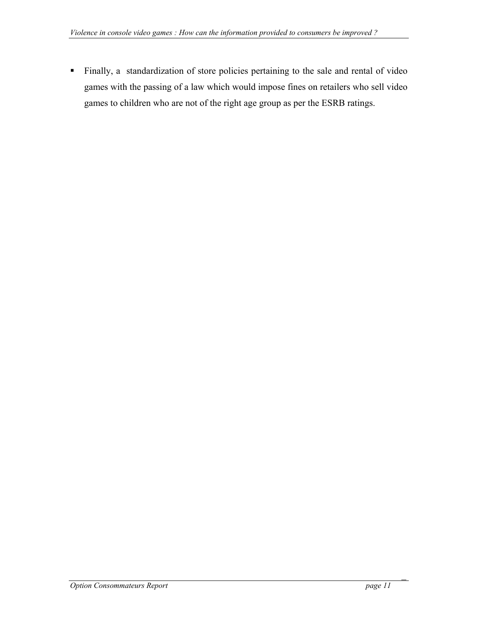Finally, a standardization of store policies pertaining to the sale and rental of video games with the passing of a law which would impose fines on retailers who sell video games to children who are not of the right age group as per the ESRB ratings.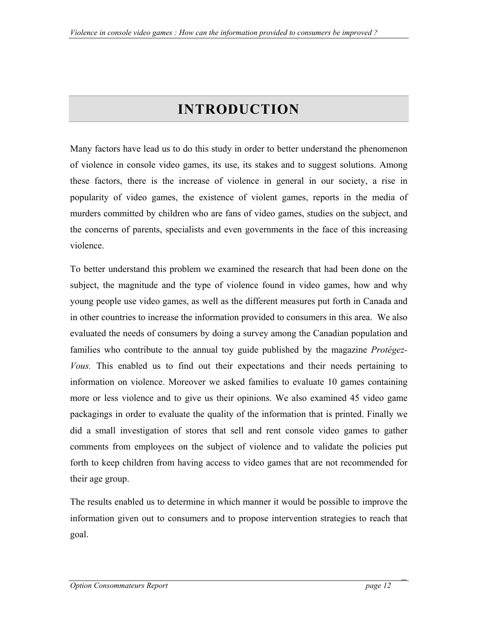# **INTRODUCTION**

<span id="page-11-0"></span>Many factors have lead us to do this study in order to better understand the phenomenon of violence in console video games, its use, its stakes and to suggest solutions. Among these factors, there is the increase of violence in general in our society, a rise in popularity of video games, the existence of violent games, reports in the media of murders committed by children who are fans of video games, studies on the subject, and the concerns of parents, specialists and even governments in the face of this increasing violence.

To better understand this problem we examined the research that had been done on the subject, the magnitude and the type of violence found in video games, how and why young people use video games, as well as the different measures put forth in Canada and in other countries to increase the information provided to consumers in this area. We also evaluated the needs of consumers by doing a survey among the Canadian population and families who contribute to the annual toy guide published by the magazine *Protégez-Vous.* This enabled us to find out their expectations and their needs pertaining to information on violence. Moreover we asked families to evaluate 10 games containing more or less violence and to give us their opinions. We also examined 45 video game packagings in order to evaluate the quality of the information that is printed. Finally we did a small investigation of stores that sell and rent console video games to gather comments from employees on the subject of violence and to validate the policies put forth to keep children from having access to video games that are not recommended for their age group.

The results enabled us to determine in which manner it would be possible to improve the information given out to consumers and to propose intervention strategies to reach that goal.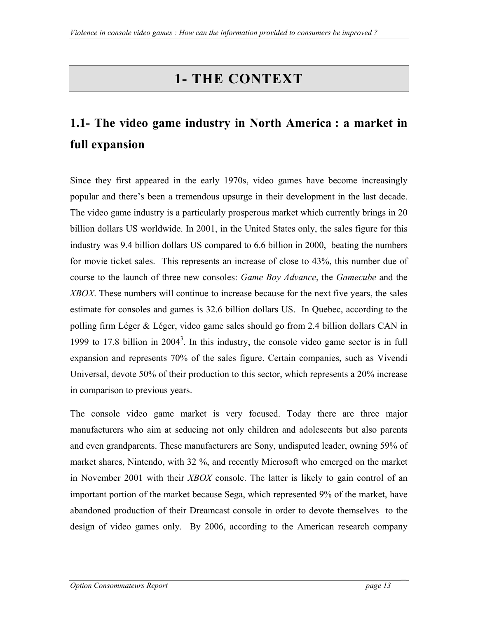# **1- THE CONTEXT**

# <span id="page-12-0"></span>**1.1- The video game industry in North America : a market in full expansion**

Since they first appeared in the early 1970s, video games have become increasingly popular and there's been a tremendous upsurge in their development in the last decade. The video game industry is a particularly prosperous market which currently brings in 20 billion dollars US worldwide. In 2001, in the United States only, the sales figure for this industry was 9.4 billion dollars US compared to 6.6 billion in 2000, beating the numbers for movie ticket sales. This represents an increase of close to 43%, this number due of course to the launch of three new consoles: *Game Boy Advance*, the *Gamecube* and the *XBOX*. These numbers will continue to increase because for the next five years, the sales estimate for consoles and games is 32.6 billion dollars US. In Quebec, according to the polling firm Léger & Léger, video game sales should go from 2.4 billion dollars CAN in 1999 to 17.8 billion in  $2004<sup>3</sup>$  $2004<sup>3</sup>$  $2004<sup>3</sup>$ . In this industry, the console video game sector is in full expansion and represents 70% of the sales figure. Certain companies, such as Vivendi Universal, devote 50% of their production to this sector, which represents a 20% increase in comparison to previous years.

<span id="page-12-1"></span>The console video game market is very focused. Today there are three major manufacturers who aim at seducing not only children and adolescents but also parents and even grandparents. These manufacturers are Sony, undisputed leader, owning 59% of market shares, Nintendo, with 32 %, and recently Microsoft who emerged on the market in November 2001 with their *XBOX* console. The latter is likely to gain control of an important portion of the market because Sega, which represented 9% of the market, have abandoned production of their Dreamcast console in order to devote themselves to the design of video games only. By 2006, according to the American research company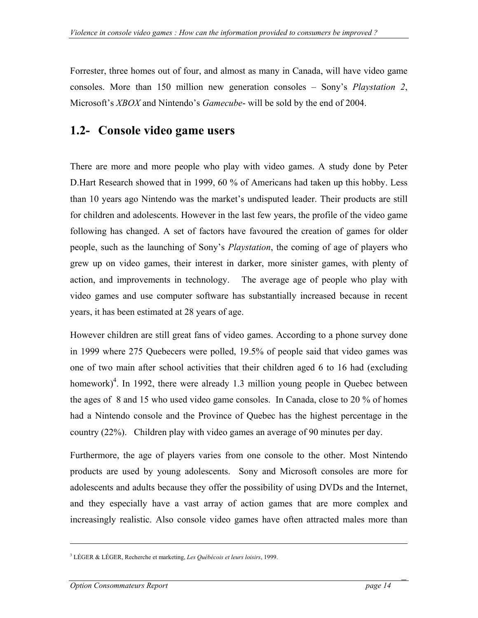<span id="page-13-0"></span>Forrester, three homes out of four, and almost as many in Canada, will have video game consoles. More than 150 million new generation consoles *–* Sony's *Playstation 2*, Microsoft's *XBOX* and Nintendo's *Gamecube*- will be sold by the end of 2004.

## **1.2- Console video game users**

There are more and more people who play with video games. A study done by Peter D.Hart Research showed that in 1999, 60 % of Americans had taken up this hobby. Less than 10 years ago Nintendo was the market's undisputed leader. Their products are still for children and adolescents. However in the last few years, the profile of the video game following has changed. A set of factors have favoured the creation of games for older people, such as the launching of Sony's *Playstation*, the coming of age of players who grew up on video games, their interest in darker, more sinister games, with plenty of action, and improvements in technology. The average age of people who play with video games and use computer software has substantially increased because in recent years, it has been estimated at 28 years of age.

However children are still great fans of video games. According to a phone survey done in 1999 where 275 Quebecers were polled, 19.5% of people said that video games was one of two main after school activities that their children aged 6 to 16 had (excluding homework)<sup>4</sup>[.](#page-13-1) In 1992, there were already 1.3 million young people in Quebec between the ages of 8 and 15 who used video game consoles. In Canada, close to 20 % of homes had a Nintendo console and the Province of Quebec has the highest percentage in the country (22%). Children play with video games an average of 90 minutes per day.

Furthermore, the age of players varies from one console to the other. Most Nintendo products are used by young adolescents. Sony and Microsoft consoles are more for adolescents and adults because they offer the possibility of using DVDs and the Internet, and they especially have a vast array of action games that are more complex and increasingly realistic. Also console video games have often attracted males more than

<u>.</u>

<span id="page-13-1"></span><sup>3</sup> LÉGER & LÉGER, Recherche et marketing, *Les Québécois et leurs loisirs*, 1999.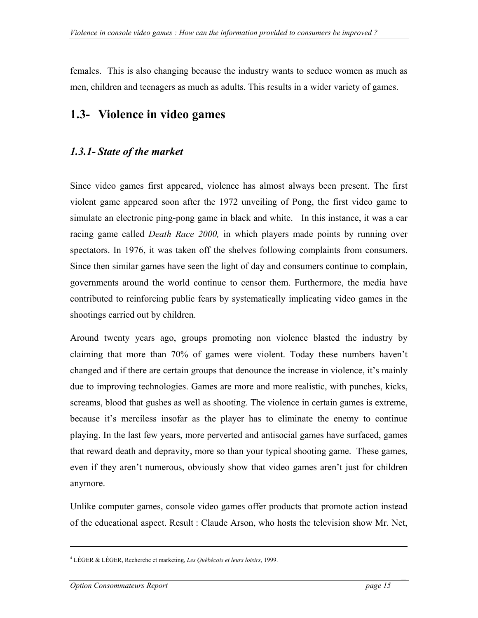<span id="page-14-0"></span>females. This is also changing because the industry wants to seduce women as much as men, children and teenagers as much as adults. This results in a wider variety of games.

## **1.3- Violence in video games**

## *1.3.1- State of the market*

Since video games first appeared, violence has almost always been present. The first violent game appeared soon after the 1972 unveiling of Pong, the first video game to simulate an electronic ping-pong game in black and white. In this instance, it was a car racing game called *Death Race 2000,* in which players made points by running over spectators. In 1976, it was taken off the shelves following complaints from consumers. Since then similar games have seen the light of day and consumers continue to complain, governments around the world continue to censor them. Furthermore, the media have contributed to reinforcing public fears by systematically implicating video games in the shootings carried out by children.

Around twenty years ago, groups promoting non violence blasted the industry by claiming that more than 70% of games were violent. Today these numbers haven't changed and if there are certain groups that denounce the increase in violence, it's mainly due to improving technologies. Games are more and more realistic, with punches, kicks, screams, blood that gushes as well as shooting. The violence in certain games is extreme, because it's merciless insofar as the player has to eliminate the enemy to continue playing. In the last few years, more perverted and antisocial games have surfaced, games that reward death and depravity, more so than your typical shooting game. These games, even if they aren't numerous, obviously show that video games aren't just for children anymore.

Unlike computer games, console video games offer products that promote action instead of the educational aspect. Result : Claude Arson, who hosts the television show Mr. Net,

<u>.</u>

<sup>4</sup> LÉGER & LÉGER, Recherche et marketing, *Les Québécois et leurs loisirs*, 1999.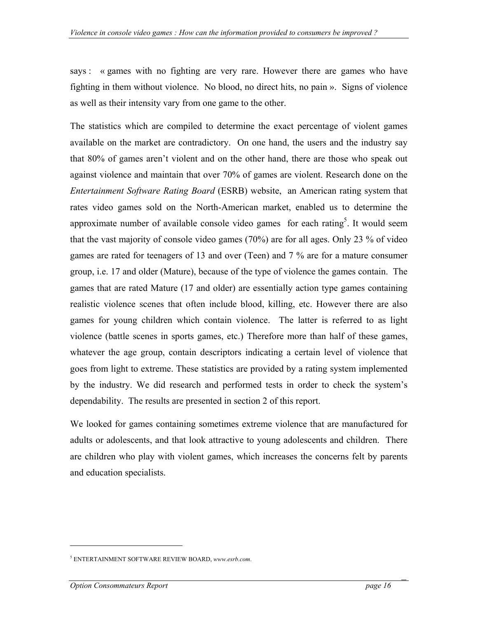says : « games with no fighting are very rare. However there are games who have fighting in them without violence. No blood, no direct hits, no pain ». Signs of violence as well as their intensity vary from one game to the other.

The statistics which are compiled to determine the exact percentage of violent games available on the market are contradictory. On one hand, the users and the industry say that 80% of games aren't violent and on the other hand, there are those who speak out against violence and maintain that over 70% of games are violent. Research done on the *Entertainment Software Rating Board* (ESRB) website, an American rating system that rates video games sold on the North-American market, enabled us to determine the approximate number of available console video games for each rating<sup>[5](#page-15-0)</sup>. It would seem that the vast majority of console video games (70%) are for all ages. Only 23 % of video games are rated for teenagers of 13 and over (Teen) and 7 % are for a mature consumer group, i.e. 17 and older (Mature), because of the type of violence the games contain. The games that are rated Mature (17 and older) are essentially action type games containing realistic violence scenes that often include blood, killing, etc. However there are also games for young children which contain violence. The latter is referred to as light violence (battle scenes in sports games, etc.) Therefore more than half of these games, whatever the age group, contain descriptors indicating a certain level of violence that goes from light to extreme. These statistics are provided by a rating system implemented by the industry. We did research and performed tests in order to check the system's dependability. The results are presented in section 2 of this report.

We looked for games containing sometimes extreme violence that are manufactured for adults or adolescents, and that look attractive to young adolescents and children. There are children who play with violent games, which increases the concerns felt by parents and education specialists.

 $\overline{a}$ 

<span id="page-15-0"></span><sup>5</sup> ENTERTAINMENT SOFTWARE REVIEW BOARD, *www.esrb.com*.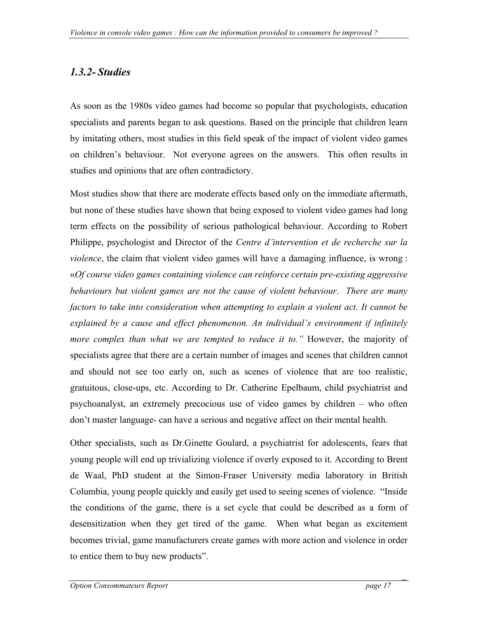## <span id="page-16-0"></span>*1.3.2- Studies*

As soon as the 1980s video games had become so popular that psychologists, education specialists and parents began to ask questions. Based on the principle that children learn by imitating others, most studies in this field speak of the impact of violent video games on children's behaviour. Not everyone agrees on the answers. This often results in studies and opinions that are often contradictory.

Most studies show that there are moderate effects based only on the immediate aftermath, but none of these studies have shown that being exposed to violent video games had long term effects on the possibility of serious pathological behaviour. According to Robert Philippe, psychologist and Director of the *Centre d'intervention et de recherche sur la violence*, the claim that violent video games will have a damaging influence, is wrong : «*Of course video games containing violence can reinforce certain pre-existing aggressive behaviours but violent games are not the cause of violent behaviour*. *There are many factors to take into consideration when attempting to explain a violent act. It cannot be explained by a cause and effect phenomenon. An individual's environment if infinitely more complex than what we are tempted to reduce it to."* However, the majority of specialists agree that there are a certain number of images and scenes that children cannot and should not see too early on, such as scenes of violence that are too realistic, gratuitous, close-ups, etc. According to Dr. Catherine Epelbaum, child psychiatrist and psychoanalyst, an extremely precocious use of video games by children – who often don't master language- can have a serious and negative affect on their mental health.

Other specialists, such as Dr.Ginette Goulard, a psychiatrist for adolescents, fears that young people will end up trivializing violence if overly exposed to it. According to Brent de Waal, PhD student at the Simon-Fraser University media laboratory in British Columbia, young people quickly and easily get used to seeing scenes of violence. "Inside the conditions of the game, there is a set cycle that could be described as a form of desensitization when they get tired of the game. When what began as excitement becomes trivial, game manufacturers create games with more action and violence in order to entice them to buy new products".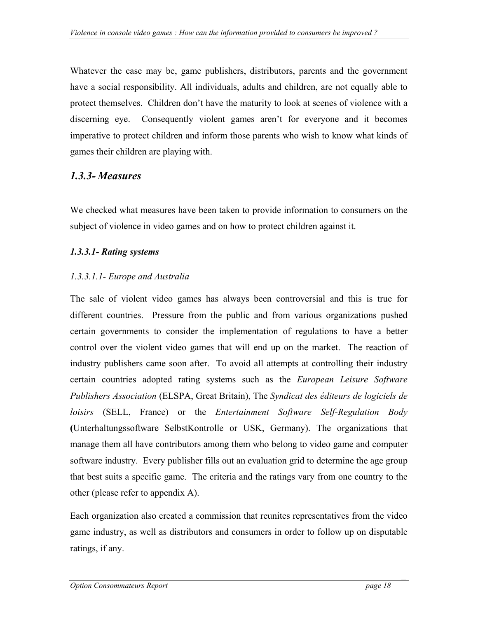<span id="page-17-0"></span>Whatever the case may be, game publishers, distributors, parents and the government have a social responsibility. All individuals, adults and children, are not equally able to protect themselves. Children don't have the maturity to look at scenes of violence with a discerning eye. Consequently violent games aren't for everyone and it becomes imperative to protect children and inform those parents who wish to know what kinds of games their children are playing with.

## *1.3.3- Measures*

We checked what measures have been taken to provide information to consumers on the subject of violence in video games and on how to protect children against it.

## *1.3.3.1- Rating systems*

## *1.3.3.1.1- Europe and Australia*

The sale of violent video games has always been controversial and this is true for different countries. Pressure from the public and from various organizations pushed certain governments to consider the implementation of regulations to have a better control over the violent video games that will end up on the market. The reaction of industry publishers came soon after. To avoid all attempts at controlling their industry certain countries adopted rating systems such as the *European Leisure Software Publishers Association* (ELSPA, Great Britain), The *Syndicat des éditeurs de logiciels de loisirs* (SELL, France) or the *Entertainment Software Self-Regulation Body*  **(**Unterhaltungssoftware SelbstKontrolle or USK, Germany). The organizations that manage them all have contributors among them who belong to video game and computer software industry. Every publisher fills out an evaluation grid to determine the age group that best suits a specific game. The criteria and the ratings vary from one country to the other (please refer to appendix A).

Each organization also created a commission that reunites representatives from the video game industry, as well as distributors and consumers in order to follow up on disputable ratings, if any.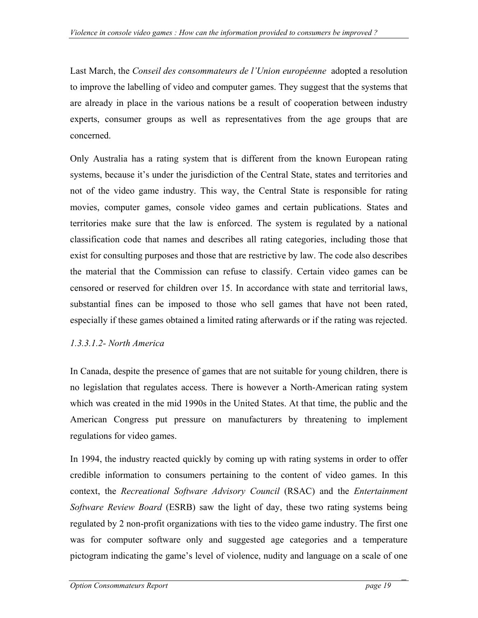Last March, the *Conseil des consommateurs de l'Union européenne* adopted a resolution to improve the labelling of video and computer games. They suggest that the systems that are already in place in the various nations be a result of cooperation between industry experts, consumer groups as well as representatives from the age groups that are concerned.

Only Australia has a rating system that is different from the known European rating systems, because it's under the jurisdiction of the Central State, states and territories and not of the video game industry. This way, the Central State is responsible for rating movies, computer games, console video games and certain publications. States and territories make sure that the law is enforced. The system is regulated by a national classification code that names and describes all rating categories, including those that exist for consulting purposes and those that are restrictive by law. The code also describes the material that the Commission can refuse to classify. Certain video games can be censored or reserved for children over 15. In accordance with state and territorial laws, substantial fines can be imposed to those who sell games that have not been rated, especially if these games obtained a limited rating afterwards or if the rating was rejected.

## *1.3.3.1.2- North America*

In Canada, despite the presence of games that are not suitable for young children, there is no legislation that regulates access. There is however a North-American rating system which was created in the mid 1990s in the United States. At that time, the public and the American Congress put pressure on manufacturers by threatening to implement regulations for video games.

In 1994, the industry reacted quickly by coming up with rating systems in order to offer credible information to consumers pertaining to the content of video games. In this context, the *Recreational Software Advisory Council* (RSAC) and the *Entertainment Software Review Board* (ESRB) saw the light of day, these two rating systems being regulated by 2 non-profit organizations with ties to the video game industry. The first one was for computer software only and suggested age categories and a temperature pictogram indicating the game's level of violence, nudity and language on a scale of one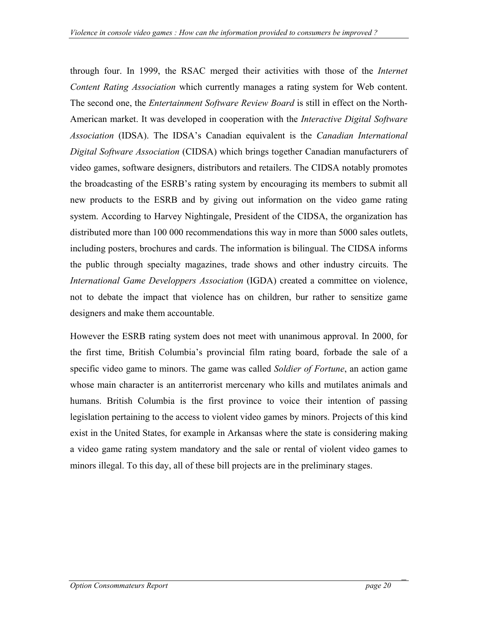through four. In 1999, the RSAC merged their activities with those of the *Internet Content Rating Association* which currently manages a rating system for Web content. The second one, the *Entertainment Software Review Board* is still in effect on the North-American market. It was developed in cooperation with the *Interactive Digital Software Association* (IDSA). The IDSA's Canadian equivalent is the *Canadian International Digital Software Association* (CIDSA) which brings together Canadian manufacturers of video games, software designers, distributors and retailers. The CIDSA notably promotes the broadcasting of the ESRB's rating system by encouraging its members to submit all new products to the ESRB and by giving out information on the video game rating system. According to Harvey Nightingale, President of the CIDSA, the organization has distributed more than 100 000 recommendations this way in more than 5000 sales outlets, including posters, brochures and cards. The information is bilingual. The CIDSA informs the public through specialty magazines, trade shows and other industry circuits. The *International Game Developpers Association* (IGDA) created a committee on violence, not to debate the impact that violence has on children, bur rather to sensitize game designers and make them accountable.

However the ESRB rating system does not meet with unanimous approval. In 2000, for the first time, British Columbia's provincial film rating board, forbade the sale of a specific video game to minors. The game was called *Soldier of Fortune*, an action game whose main character is an antiterrorist mercenary who kills and mutilates animals and humans. British Columbia is the first province to voice their intention of passing legislation pertaining to the access to violent video games by minors. Projects of this kind exist in the United States, for example in Arkansas where the state is considering making a video game rating system mandatory and the sale or rental of violent video games to minors illegal. To this day, all of these bill projects are in the preliminary stages.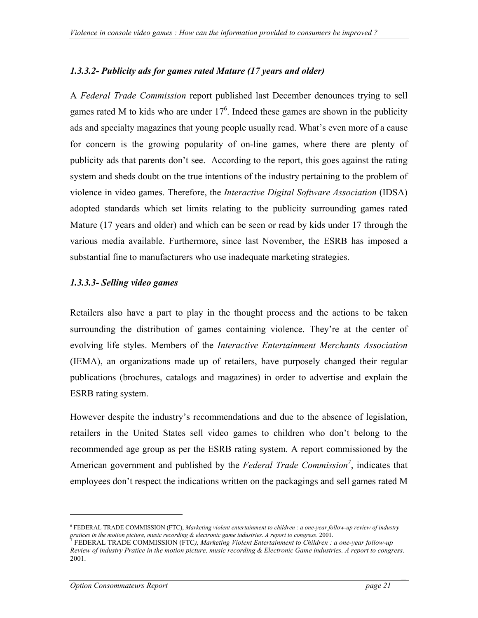#### *1.3.3.2- Publicity ads for games rated Mature (17 years and older)*

A *Federal Trade Commission* report published last December denounces trying to sell games rated M to kids who are under  $17<sup>6</sup>$  $17<sup>6</sup>$  $17<sup>6</sup>$ . Indeed these games are shown in the publicity ads and specialty magazines that young people usually read. What's even more of a cause for concern is the growing popularity of on-line games, where there are plenty of publicity ads that parents don't see. According to the report, this goes against the rating system and sheds doubt on the true intentions of the industry pertaining to the problem of violence in video games. Therefore, the *Interactive Digital Software Association* (IDSA) adopted standards which set limits relating to the publicity surrounding games rated Mature (17 years and older) and which can be seen or read by kids under 17 through the various media available. Furthermore, since last November, the ESRB has imposed a substantial fine to manufacturers who use inadequate marketing strategies.

#### *1.3.3.3- Selling video games*

Retailers also have a part to play in the thought process and the actions to be taken surrounding the distribution of games containing violence. They're at the center of evolving life styles. Members of the *Interactive Entertainment Merchants Association*  (IEMA), an organizations made up of retailers, have purposely changed their regular publications (brochures, catalogs and magazines) in order to advertise and explain the ESRB rating system.

However despite the industry's recommendations and due to the absence of legislation, retailers in the United States sell video games to children who don't belong to the recommended age group as per the ESRB rating system. A report commissioned by the American government and published by the *Federal Trade Commission[7](#page-20-1)* , indicates that employees don't respect the indications written on the packagings and sell games rated M

 $\overline{a}$ 

<span id="page-20-0"></span><sup>6</sup> FEDERAL TRADE COMMISSION (FTC), *Marketing violent entertainment to children : a one-year follow-up review of industry pratices in the motion picture, music recording & electronic game industries. A report to congress*. 2001. <sup>7</sup>

<span id="page-20-1"></span>FEDERAL TRADE COMMISSION (FTC*), Marketing Violent Entertainment to Children : a one-year follow-up Review of industry Pratice in the motion picture, music recording & Electronic Game industries. A report to congress*. 2001.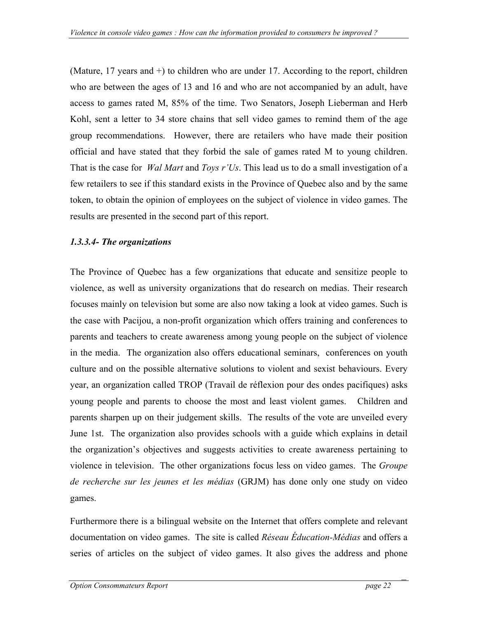(Mature, 17 years and +) to children who are under 17. According to the report, children who are between the ages of 13 and 16 and who are not accompanied by an adult, have access to games rated M, 85% of the time. Two Senators, Joseph Lieberman and Herb Kohl, sent a letter to 34 store chains that sell video games to remind them of the age group recommendations. However, there are retailers who have made their position official and have stated that they forbid the sale of games rated M to young children. That is the case for *Wal Mart* and *Toys r'Us*. This lead us to do a small investigation of a few retailers to see if this standard exists in the Province of Quebec also and by the same token, to obtain the opinion of employees on the subject of violence in video games. The results are presented in the second part of this report.

## *1.3.3.4- The organizations*

The Province of Quebec has a few organizations that educate and sensitize people to violence, as well as university organizations that do research on medias. Their research focuses mainly on television but some are also now taking a look at video games. Such is the case with Pacijou, a non-profit organization which offers training and conferences to parents and teachers to create awareness among young people on the subject of violence in the media. The organization also offers educational seminars, conferences on youth culture and on the possible alternative solutions to violent and sexist behaviours. Every year, an organization called TROP (Travail de réflexion pour des ondes pacifiques) asks young people and parents to choose the most and least violent games. Children and parents sharpen up on their judgement skills. The results of the vote are unveiled every June 1st. The organization also provides schools with a guide which explains in detail the organization's objectives and suggests activities to create awareness pertaining to violence in television. The other organizations focus less on video games. The *Groupe de recherche sur les jeunes et les médias* (GRJM) has done only one study on video games.

Furthermore there is a bilingual website on the Internet that offers complete and relevant documentation on video games. The site is called *Réseau Éducation-Médias* and offers a series of articles on the subject of video games. It also gives the address and phone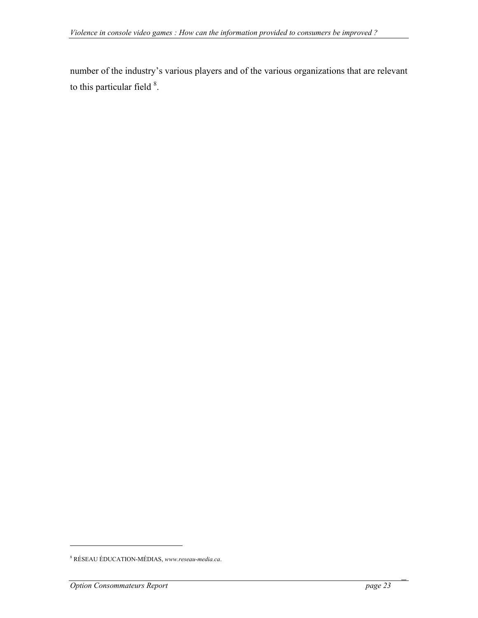number of the industry's various players and of the various organizations that are relevant to this particular field  $8$ [.](#page-22-0)

 $\overline{a}$ 

<span id="page-22-0"></span><sup>8</sup> RÉSEAU ÉDUCATION-MÉDIAS, *www.reseau-media.ca*.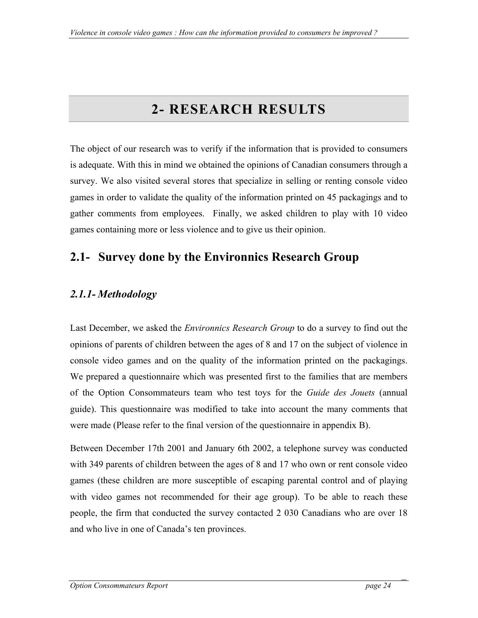# **2- RESEARCH RESULTS**

<span id="page-23-0"></span>The object of our research was to verify if the information that is provided to consumers is adequate. With this in mind we obtained the opinions of Canadian consumers through a survey. We also visited several stores that specialize in selling or renting console video games in order to validate the quality of the information printed on 45 packagings and to gather comments from employees. Finally, we asked children to play with 10 video games containing more or less violence and to give us their opinion.

# **2.1- Survey done by the Environnics Research Group**

## *2.1.1- Methodology*

Last December, we asked the *Environnics Research Group* to do a survey to find out the opinions of parents of children between the ages of 8 and 17 on the subject of violence in console video games and on the quality of the information printed on the packagings. We prepared a questionnaire which was presented first to the families that are members of the Option Consommateurs team who test toys for the *Guide des Jouets* (annual guide). This questionnaire was modified to take into account the many comments that were made (Please refer to the final version of the questionnaire in appendix B).

Between December 17th 2001 and January 6th 2002, a telephone survey was conducted with 349 parents of children between the ages of 8 and 17 who own or rent console video games (these children are more susceptible of escaping parental control and of playing with video games not recommended for their age group). To be able to reach these people, the firm that conducted the survey contacted 2 030 Canadians who are over 18 and who live in one of Canada's ten provinces.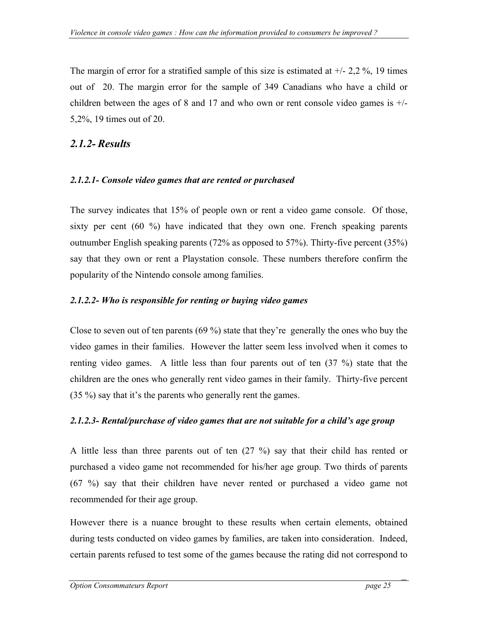<span id="page-24-0"></span>The margin of error for a stratified sample of this size is estimated at  $+/- 2,2\%$ , 19 times out of 20. The margin error for the sample of 349 Canadians who have a child or children between the ages of 8 and 17 and who own or rent console video games is  $+/-$ 5,2%, 19 times out of 20.

## *2.1.2- Results*

## *2.1.2.1- Console video games that are rented or purchased*

The survey indicates that 15% of people own or rent a video game console. Of those, sixty per cent  $(60 \%)$  have indicated that they own one. French speaking parents outnumber English speaking parents (72% as opposed to 57%). Thirty-five percent (35%) say that they own or rent a Playstation console. These numbers therefore confirm the popularity of the Nintendo console among families.

## *2.1.2.2- Who is responsible for renting or buying video games*

Close to seven out of ten parents (69 %) state that they're generally the ones who buy the video games in their families. However the latter seem less involved when it comes to renting video games. A little less than four parents out of ten (37 %) state that the children are the ones who generally rent video games in their family. Thirty-five percent (35 %) say that it's the parents who generally rent the games.

## *2.1.2.3- Rental/purchase of video games that are not suitable for a child's age group*

A little less than three parents out of ten (27 %) say that their child has rented or purchased a video game not recommended for his/her age group. Two thirds of parents (67 %) say that their children have never rented or purchased a video game not recommended for their age group.

However there is a nuance brought to these results when certain elements, obtained during tests conducted on video games by families, are taken into consideration. Indeed, certain parents refused to test some of the games because the rating did not correspond to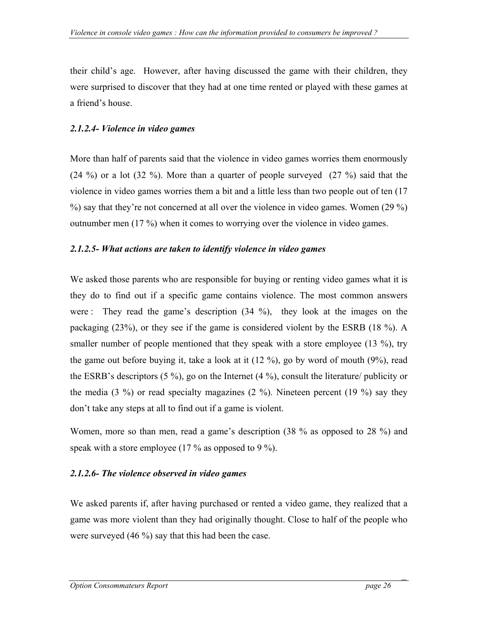their child's age. However, after having discussed the game with their children, they were surprised to discover that they had at one time rented or played with these games at a friend's house.

## *2.1.2.4- Violence in video games*

More than half of parents said that the violence in video games worries them enormously (24 %) or a lot (32 %). More than a quarter of people surveyed (27 %) said that the violence in video games worries them a bit and a little less than two people out of ten (17 %) say that they're not concerned at all over the violence in video games. Women (29 %) outnumber men (17 %) when it comes to worrying over the violence in video games.

## *2.1.2.5- What actions are taken to identify violence in video games*

We asked those parents who are responsible for buying or renting video games what it is they do to find out if a specific game contains violence. The most common answers were : They read the game's description (34 %), they look at the images on the packaging (23%), or they see if the game is considered violent by the ESRB (18 %). A smaller number of people mentioned that they speak with a store employee (13 %), try the game out before buying it, take a look at it (12 %), go by word of mouth (9%), read the ESRB's descriptors (5 %), go on the Internet (4 %), consult the literature/ publicity or the media  $(3 \%)$  or read specialty magazines  $(2 \%)$ . Nineteen percent  $(19 \%)$  say they don't take any steps at all to find out if a game is violent.

Women, more so than men, read a game's description (38 % as opposed to 28 %) and speak with a store employee (17  $\%$  as opposed to 9  $\%$ ).

## *2.1.2.6- The violence observed in video games*

We asked parents if, after having purchased or rented a video game, they realized that a game was more violent than they had originally thought. Close to half of the people who were surveyed (46 %) say that this had been the case.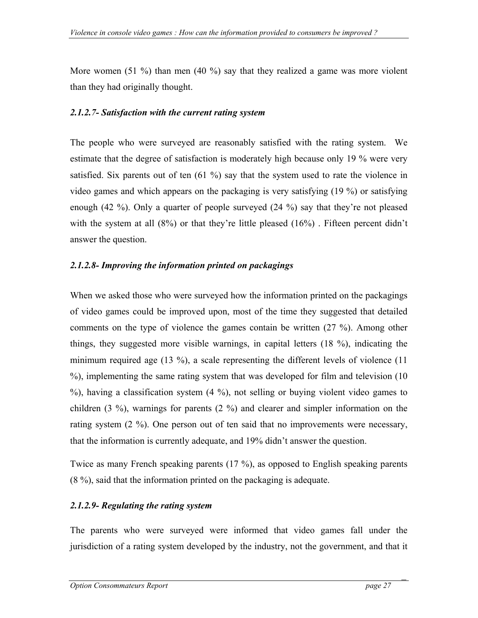More women (51 %) than men (40 %) say that they realized a game was more violent than they had originally thought.

### *2.1.2.7- Satisfaction with the current rating system*

The people who were surveyed are reasonably satisfied with the rating system. We estimate that the degree of satisfaction is moderately high because only 19 % were very satisfied. Six parents out of ten  $(61 \%)$  say that the system used to rate the violence in video games and which appears on the packaging is very satisfying (19 %) or satisfying enough (42 %). Only a quarter of people surveyed (24 %) say that they're not pleased with the system at all  $(8\%)$  or that they're little pleased  $(16\%)$ . Fifteen percent didn't answer the question.

## *2.1.2.8- Improving the information printed on packagings*

When we asked those who were surveyed how the information printed on the packagings of video games could be improved upon, most of the time they suggested that detailed comments on the type of violence the games contain be written (27 %). Among other things, they suggested more visible warnings, in capital letters (18 %), indicating the minimum required age (13 %), a scale representing the different levels of violence (11 %), implementing the same rating system that was developed for film and television (10 %), having a classification system (4 %), not selling or buying violent video games to children (3 %), warnings for parents (2 %) and clearer and simpler information on the rating system (2 %). One person out of ten said that no improvements were necessary, that the information is currently adequate, and 19% didn't answer the question.

Twice as many French speaking parents (17 %), as opposed to English speaking parents (8 %), said that the information printed on the packaging is adequate.

## *2.1.2.9- Regulating the rating system*

The parents who were surveyed were informed that video games fall under the jurisdiction of a rating system developed by the industry, not the government, and that it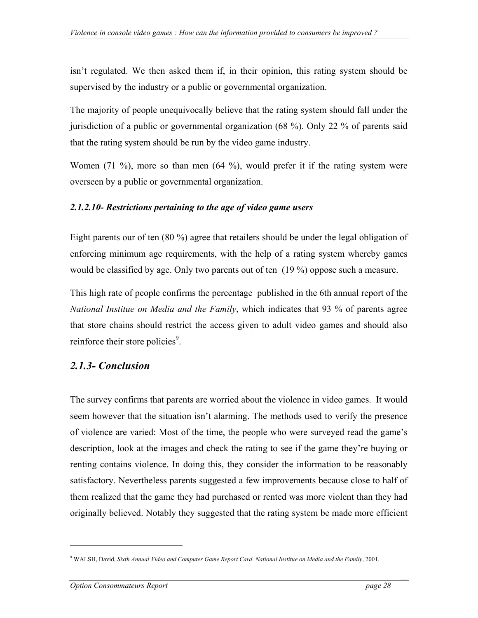<span id="page-27-0"></span>isn't regulated. We then asked them if, in their opinion, this rating system should be supervised by the industry or a public or governmental organization.

The majority of people unequivocally believe that the rating system should fall under the jurisdiction of a public or governmental organization (68 %). Only 22 % of parents said that the rating system should be run by the video game industry.

Women (71 %), more so than men (64 %), would prefer it if the rating system were overseen by a public or governmental organization.

## *2.1.2.10- Restrictions pertaining to the age of video game users*

Eight parents our of ten (80 %) agree that retailers should be under the legal obligation of enforcing minimum age requirements, with the help of a rating system whereby games would be classified by age. Only two parents out of ten (19 %) oppose such a measure.

This high rate of people confirms the percentage published in the 6th annual report of the *National Institue on Media and the Family*, which indicates that 93 % of parents agree that store chains should restrict the access given to adult video games and should also reinforce their store policies<sup>9</sup>.

## *2.1.3- Conclusion*

The survey confirms that parents are worried about the violence in video games. It would seem however that the situation isn't alarming. The methods used to verify the presence of violence are varied: Most of the time, the people who were surveyed read the game's description, look at the images and check the rating to see if the game they're buying or renting contains violence. In doing this, they consider the information to be reasonably satisfactory. Nevertheless parents suggested a few improvements because close to half of them realized that the game they had purchased or rented was more violent than they had originally believed. Notably they suggested that the rating system be made more efficient

 $\overline{a}$ 

<span id="page-27-1"></span><sup>9</sup> WALSH, David, *Sixth Annual Video and Computer Game Report Card. National Institue on Media and the Family*, 2001.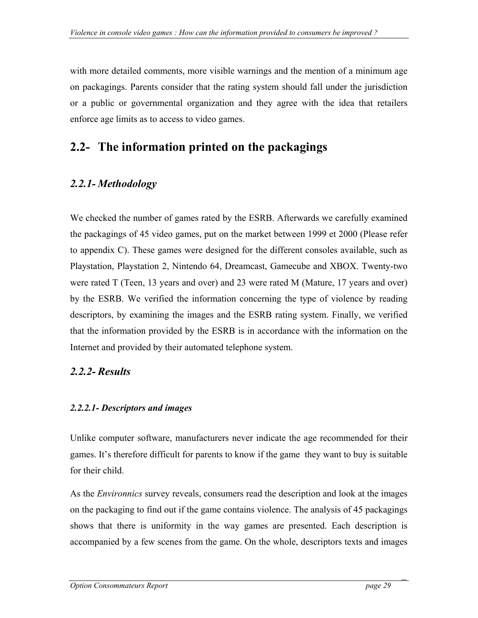<span id="page-28-0"></span>with more detailed comments, more visible warnings and the mention of a minimum age on packagings. Parents consider that the rating system should fall under the jurisdiction or a public or governmental organization and they agree with the idea that retailers enforce age limits as to access to video games.

## **2.2- The information printed on the packagings**

## *2.2.1- Methodology*

We checked the number of games rated by the ESRB. Afterwards we carefully examined the packagings of 45 video games, put on the market between 1999 et 2000 (Please refer to appendix C). These games were designed for the different consoles available, such as Playstation, Playstation 2, Nintendo 64, Dreamcast, Gamecube and XBOX. Twenty-two were rated T (Teen, 13 years and over) and 23 were rated M (Mature, 17 years and over) by the ESRB. We verified the information concerning the type of violence by reading descriptors, by examining the images and the ESRB rating system. Finally, we verified that the information provided by the ESRB is in accordance with the information on the Internet and provided by their automated telephone system.

## *2.2.2- Results*

## *2.2.2.1- Descriptors and images*

Unlike computer software, manufacturers never indicate the age recommended for their games. It's therefore difficult for parents to know if the game they want to buy is suitable for their child.

As the *Environnics* survey reveals, consumers read the description and look at the images on the packaging to find out if the game contains violence. The analysis of 45 packagings shows that there is uniformity in the way games are presented. Each description is accompanied by a few scenes from the game. On the whole, descriptors texts and images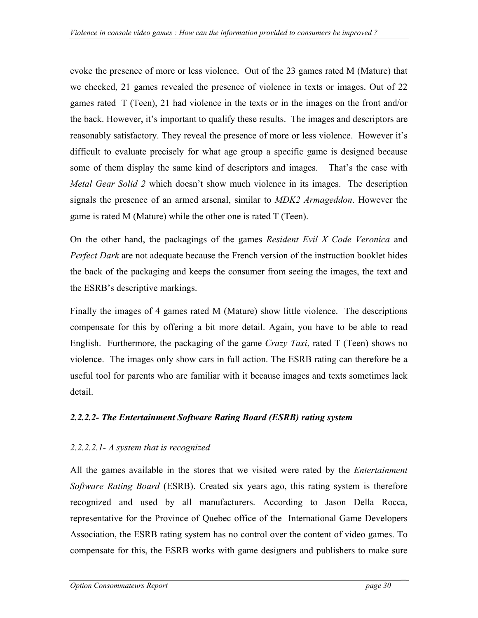evoke the presence of more or less violence. Out of the 23 games rated M (Mature) that we checked, 21 games revealed the presence of violence in texts or images. Out of 22 games rated T (Teen), 21 had violence in the texts or in the images on the front and/or the back. However, it's important to qualify these results. The images and descriptors are reasonably satisfactory. They reveal the presence of more or less violence. However it's difficult to evaluate precisely for what age group a specific game is designed because some of them display the same kind of descriptors and images. That's the case with *Metal Gear Solid 2* which doesn't show much violence in its images. The description signals the presence of an armed arsenal, similar to *MDK2 Armageddon*. However the game is rated M (Mature) while the other one is rated T (Teen).

On the other hand, the packagings of the games *Resident Evil X Code Veronica* and *Perfect Dark* are not adequate because the French version of the instruction booklet hides the back of the packaging and keeps the consumer from seeing the images, the text and the ESRB's descriptive markings.

Finally the images of 4 games rated M (Mature) show little violence. The descriptions compensate for this by offering a bit more detail. Again, you have to be able to read English. Furthermore, the packaging of the game *Crazy Taxi*, rated T (Teen) shows no violence. The images only show cars in full action. The ESRB rating can therefore be a useful tool for parents who are familiar with it because images and texts sometimes lack detail.

## *2.2.2.2- The Entertainment Software Rating Board (ESRB) rating system*

## *2.2.2.2.1- A system that is recognized*

All the games available in the stores that we visited were rated by the *Entertainment Software Rating Board* (ESRB). Created six years ago, this rating system is therefore recognized and used by all manufacturers. According to Jason Della Rocca, representative for the Province of Quebec office of the International Game Developers Association, the ESRB rating system has no control over the content of video games. To compensate for this, the ESRB works with game designers and publishers to make sure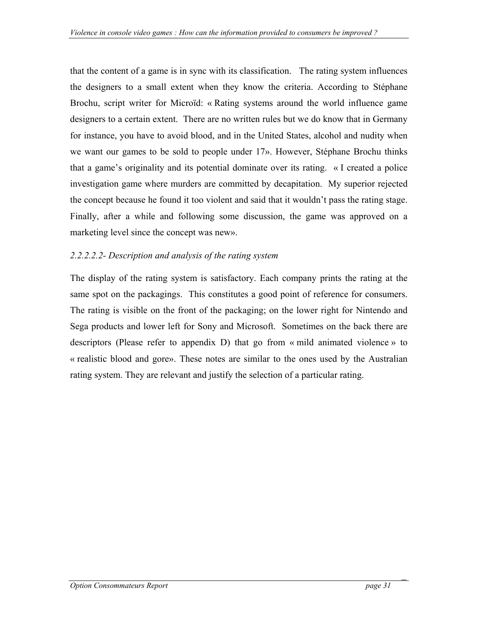that the content of a game is in sync with its classification. The rating system influences the designers to a small extent when they know the criteria. According to Stéphane Brochu, script writer for Microïd: « Rating systems around the world influence game designers to a certain extent. There are no written rules but we do know that in Germany for instance, you have to avoid blood, and in the United States, alcohol and nudity when we want our games to be sold to people under 17». However, Stéphane Brochu thinks that a game's originality and its potential dominate over its rating. « I created a police investigation game where murders are committed by decapitation. My superior rejected the concept because he found it too violent and said that it wouldn't pass the rating stage. Finally, after a while and following some discussion, the game was approved on a marketing level since the concept was new».

## *2.2.2.2.2- Description and analysis of the rating system*

The display of the rating system is satisfactory. Each company prints the rating at the same spot on the packagings. This constitutes a good point of reference for consumers. The rating is visible on the front of the packaging; on the lower right for Nintendo and Sega products and lower left for Sony and Microsoft. Sometimes on the back there are descriptors (Please refer to appendix D) that go from « mild animated violence » to « realistic blood and gore». These notes are similar to the ones used by the Australian rating system. They are relevant and justify the selection of a particular rating.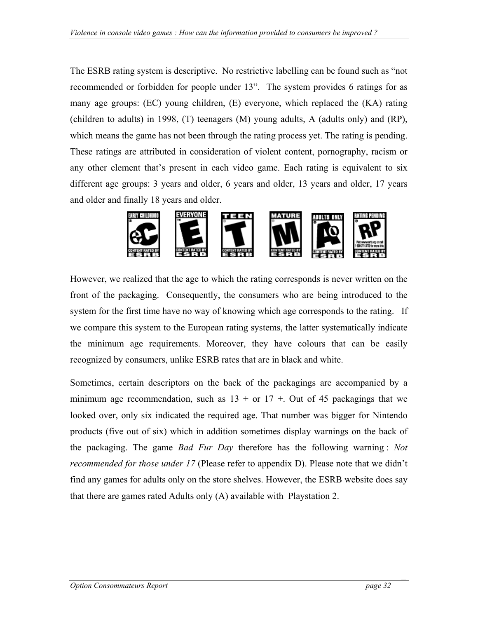The ESRB rating system is descriptive. No restrictive labelling can be found such as "not recommended or forbidden for people under 13". The system provides 6 ratings for as many age groups: (EC) young children, (E) everyone, which replaced the (KA) rating (children to adults) in 1998, (T) teenagers (M) young adults, A (adults only) and (RP), which means the game has not been through the rating process yet. The rating is pending. These ratings are attributed in consideration of violent content, pornography, racism or any other element that's present in each video game. Each rating is equivalent to six different age groups: 3 years and older, 6 years and older, 13 years and older, 17 years and older and finally 18 years and older.



However, we realized that the age to which the rating corresponds is never written on the front of the packaging. Consequently, the consumers who are being introduced to the system for the first time have no way of knowing which age corresponds to the rating. If we compare this system to the European rating systems, the latter systematically indicate the minimum age requirements. Moreover, they have colours that can be easily recognized by consumers, unlike ESRB rates that are in black and white.

Sometimes, certain descriptors on the back of the packagings are accompanied by a minimum age recommendation, such as  $13 +$  or  $17 +$ . Out of 45 packagings that we looked over, only six indicated the required age. That number was bigger for Nintendo products (five out of six) which in addition sometimes display warnings on the back of the packaging. The game *Bad Fur Day* therefore has the following warning : *Not recommended for those under 17* (Please refer to appendix D). Please note that we didn't find any games for adults only on the store shelves. However, the ESRB website does say that there are games rated Adults only (A) available with Playstation 2.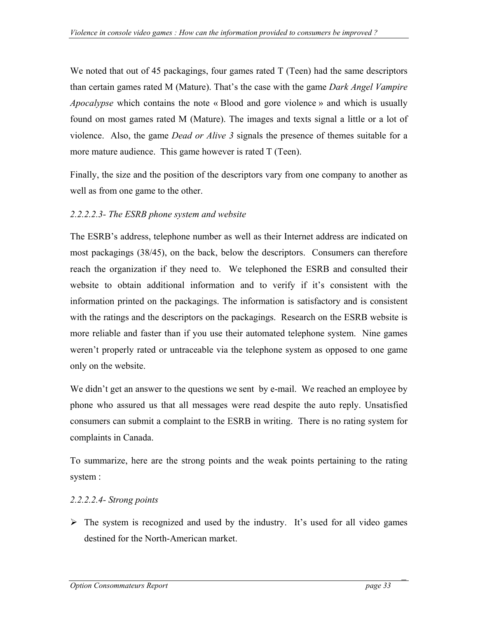We noted that out of 45 packagings, four games rated T (Teen) had the same descriptors than certain games rated M (Mature). That's the case with the game *Dark Angel Vampire Apocalypse* which contains the note « Blood and gore violence » and which is usually found on most games rated M (Mature). The images and texts signal a little or a lot of violence. Also, the game *Dead or Alive 3* signals the presence of themes suitable for a more mature audience. This game however is rated T (Teen).

Finally, the size and the position of the descriptors vary from one company to another as well as from one game to the other.

#### *2.2.2.2.3- The ESRB phone system and website*

The ESRB's address, telephone number as well as their Internet address are indicated on most packagings (38/45), on the back, below the descriptors. Consumers can therefore reach the organization if they need to. We telephoned the ESRB and consulted their website to obtain additional information and to verify if it's consistent with the information printed on the packagings. The information is satisfactory and is consistent with the ratings and the descriptors on the packagings. Research on the ESRB website is more reliable and faster than if you use their automated telephone system. Nine games weren't properly rated or untraceable via the telephone system as opposed to one game only on the website.

We didn't get an answer to the questions we sent by e-mail. We reached an employee by phone who assured us that all messages were read despite the auto reply. Unsatisfied consumers can submit a complaint to the ESRB in writing. There is no rating system for complaints in Canada.

To summarize, here are the strong points and the weak points pertaining to the rating system :

#### *2.2.2.2.4- Strong points*

 $\triangleright$  The system is recognized and used by the industry. It's used for all video games destined for the North-American market.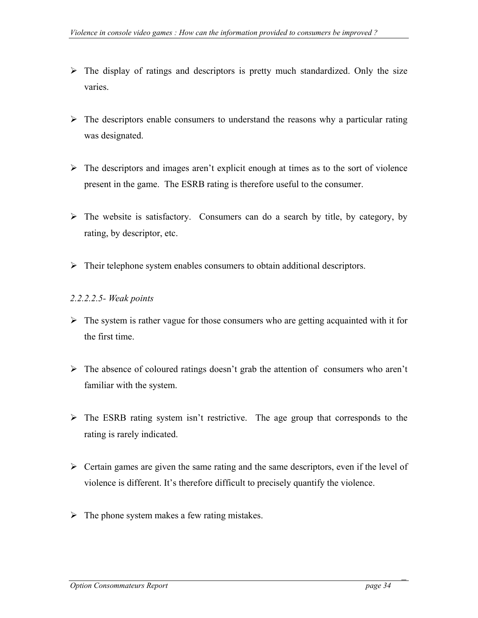- $\triangleright$  The display of ratings and descriptors is pretty much standardized. Only the size varies.
- $\triangleright$  The descriptors enable consumers to understand the reasons why a particular rating was designated.
- $\triangleright$  The descriptors and images aren't explicit enough at times as to the sort of violence present in the game. The ESRB rating is therefore useful to the consumer.
- $\triangleright$  The website is satisfactory. Consumers can do a search by title, by category, by rating, by descriptor, etc.
- $\triangleright$  Their telephone system enables consumers to obtain additional descriptors.

#### *2.2.2.2.5- Weak points*

- $\triangleright$  The system is rather vague for those consumers who are getting acquainted with it for the first time.
- $\triangleright$  The absence of coloured ratings doesn't grab the attention of consumers who aren't familiar with the system.
- ¾ The ESRB rating system isn't restrictive. The age group that corresponds to the rating is rarely indicated.
- $\triangleright$  Certain games are given the same rating and the same descriptors, even if the level of violence is different. It's therefore difficult to precisely quantify the violence.
- $\triangleright$  The phone system makes a few rating mistakes.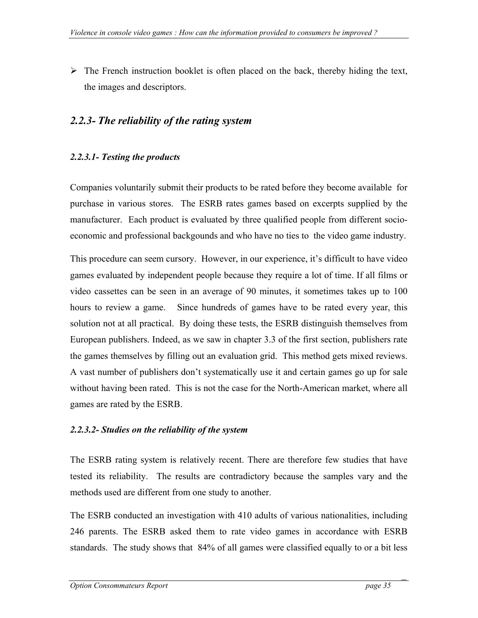<span id="page-34-0"></span> $\triangleright$  The French instruction booklet is often placed on the back, thereby hiding the text, the images and descriptors.

## *2.2.3- The reliability of the rating system*

#### *2.2.3.1- Testing the products*

Companies voluntarily submit their products to be rated before they become available for purchase in various stores. The ESRB rates games based on excerpts supplied by the manufacturer. Each product is evaluated by three qualified people from different socioeconomic and professional backgounds and who have no ties to the video game industry.

This procedure can seem cursory. However, in our experience, it's difficult to have video games evaluated by independent people because they require a lot of time. If all films or video cassettes can be seen in an average of 90 minutes, it sometimes takes up to 100 hours to review a game. Since hundreds of games have to be rated every year, this solution not at all practical. By doing these tests, the ESRB distinguish themselves from European publishers. Indeed, as we saw in chapter 3.3 of the first section, publishers rate the games themselves by filling out an evaluation grid. This method gets mixed reviews. A vast number of publishers don't systematically use it and certain games go up for sale without having been rated. This is not the case for the North-American market, where all games are rated by the ESRB.

#### *2.2.3.2- Studies on the reliability of the system*

The ESRB rating system is relatively recent. There are therefore few studies that have tested its reliability. The results are contradictory because the samples vary and the methods used are different from one study to another.

The ESRB conducted an investigation with 410 adults of various nationalities, including 246 parents. The ESRB asked them to rate video games in accordance with ESRB standards. The study shows that 84% of all games were classified equally to or a bit less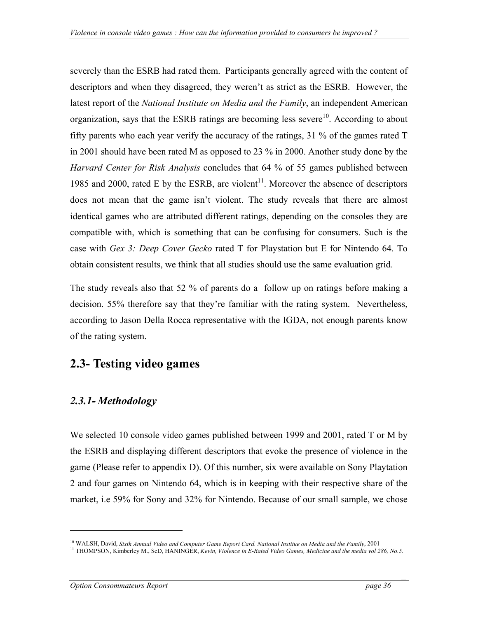<span id="page-35-0"></span>severely than the ESRB had rated them. Participants generally agreed with the content of descriptors and when they disagreed, they weren't as strict as the ESRB. However, the latest report of the *National Institute on Media and the Family*, an independent American organization, says that th[e](#page-35-1) ESRB ratings are becoming less severe<sup>10</sup>[.](#page-35-1) According to about fifty parents who each year verify the accuracy of the ratings, 31 % of the games rated T in 2001 should have been rated M as opposed to 23 % in 2000. Another study done by the *Harvard Center for Risk Analysis* concludes that 64 % of 55 games published between 1985 and 2000, rated E by the ESRB, are violent<sup>11</sup>[.](#page-35-2) Moreover the absence of descriptors does not mean that the game isn't violent. The study reveals that there are almost identical games who are attributed different ratings, depending on the consoles they are compatible with, which is something that can be confusing for consumers. Such is the case with *Gex 3: Deep Cover Gecko* rated T for Playstation but E for Nintendo 64. To obtain consistent results, we think that all studies should use the same evaluation grid.

The study reveals also that 52 % of parents do a follow up on ratings before making a decision. 55% therefore say that they're familiar with the rating system. Nevertheless, according to Jason Della Rocca representative with the IGDA, not enough parents know of the rating system.

# **2.3- Testing video games**

## *2.3.1- Methodology*

We selected 10 console video games published between 1999 and 2001, rated T or M by the ESRB and displaying different descriptors that evoke the presence of violence in the game (Please refer to appendix D). Of this number, six were available on Sony Playtation 2 and four games on Nintendo 64, which is in keeping with their respective share of the market, i.e 59% for Sony and 32% for Nintendo. Because of our small sample, we chose

 $\overline{a}$ 

<span id="page-35-1"></span><sup>&</sup>lt;sup>10</sup> WALSH, David, *Sixth Annual Video and Computer Game Report Card. National Institue on Media and the Family, 2001*<br><sup>11</sup> THOMPSON, Kimberley M., ScD, HANINGER, *Kevin, Violence in E-Rated Video Games, Medicine and the* 

<span id="page-35-2"></span>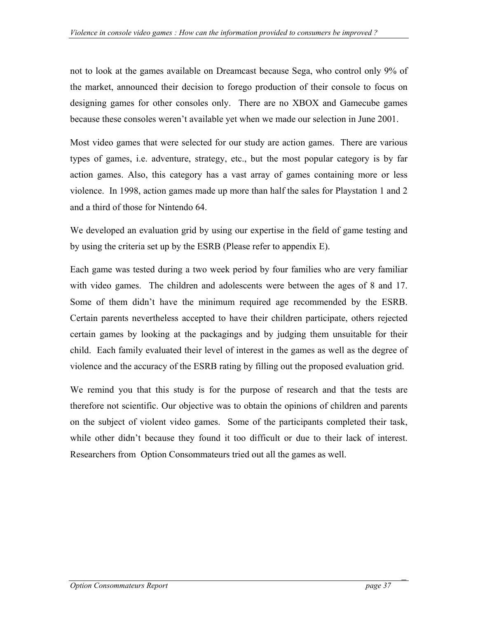not to look at the games available on Dreamcast because Sega, who control only 9% of the market, announced their decision to forego production of their console to focus on designing games for other consoles only. There are no XBOX and Gamecube games because these consoles weren't available yet when we made our selection in June 2001.

Most video games that were selected for our study are action games. There are various types of games, i.e. adventure, strategy, etc., but the most popular category is by far action games. Also, this category has a vast array of games containing more or less violence. In 1998, action games made up more than half the sales for Playstation 1 and 2 and a third of those for Nintendo 64.

We developed an evaluation grid by using our expertise in the field of game testing and by using the criteria set up by the ESRB (Please refer to appendix E).

Each game was tested during a two week period by four families who are very familiar with video games. The children and adolescents were between the ages of 8 and 17. Some of them didn't have the minimum required age recommended by the ESRB. Certain parents nevertheless accepted to have their children participate, others rejected certain games by looking at the packagings and by judging them unsuitable for their child. Each family evaluated their level of interest in the games as well as the degree of violence and the accuracy of the ESRB rating by filling out the proposed evaluation grid.

We remind you that this study is for the purpose of research and that the tests are therefore not scientific. Our objective was to obtain the opinions of children and parents on the subject of violent video games. Some of the participants completed their task, while other didn't because they found it too difficult or due to their lack of interest. Researchers from Option Consommateurs tried out all the games as well.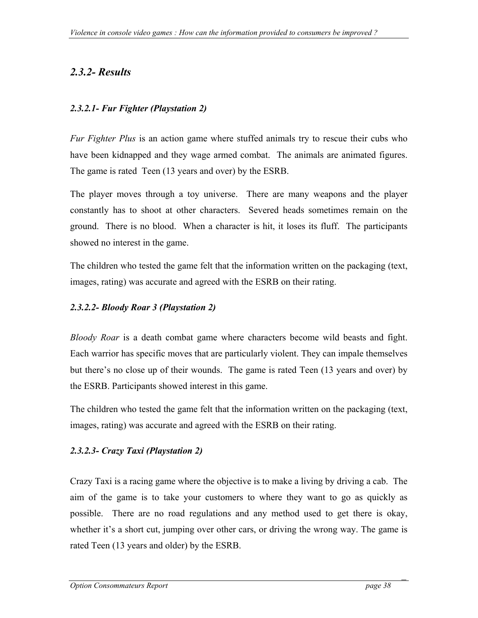## <span id="page-37-0"></span>*2.3.2- Results*

## *2.3.2.1- Fur Fighter (Playstation 2)*

*Fur Fighter Plus* is an action game where stuffed animals try to rescue their cubs who have been kidnapped and they wage armed combat. The animals are animated figures. The game is rated Teen (13 years and over) by the ESRB.

The player moves through a toy universe. There are many weapons and the player constantly has to shoot at other characters. Severed heads sometimes remain on the ground. There is no blood. When a character is hit, it loses its fluff. The participants showed no interest in the game.

The children who tested the game felt that the information written on the packaging (text, images, rating) was accurate and agreed with the ESRB on their rating.

## *2.3.2.2- Bloody Roar 3 (Playstation 2)*

*Bloody Roar* is a death combat game where characters become wild beasts and fight. Each warrior has specific moves that are particularly violent. They can impale themselves but there's no close up of their wounds. The game is rated Teen (13 years and over) by the ESRB. Participants showed interest in this game.

The children who tested the game felt that the information written on the packaging (text, images, rating) was accurate and agreed with the ESRB on their rating.

## *2.3.2.3- Crazy Taxi (Playstation 2)*

Crazy Taxi is a racing game where the objective is to make a living by driving a cab. The aim of the game is to take your customers to where they want to go as quickly as possible. There are no road regulations and any method used to get there is okay, whether it's a short cut, jumping over other cars, or driving the wrong way. The game is rated Teen (13 years and older) by the ESRB.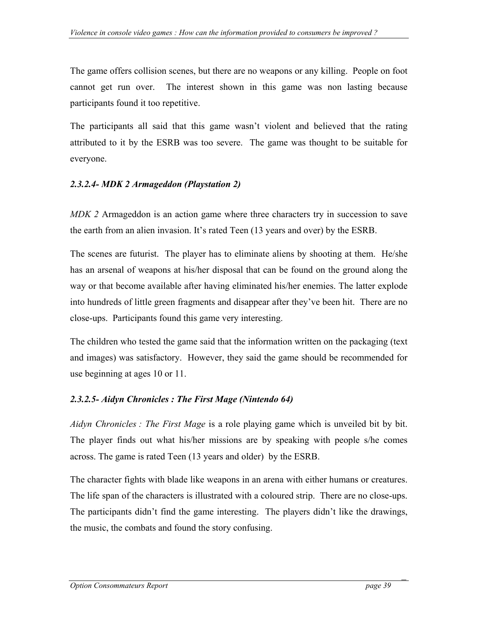The game offers collision scenes, but there are no weapons or any killing. People on foot cannot get run over. The interest shown in this game was non lasting because participants found it too repetitive.

The participants all said that this game wasn't violent and believed that the rating attributed to it by the ESRB was too severe. The game was thought to be suitable for everyone.

## *2.3.2.4- MDK 2 Armageddon (Playstation 2)*

*MDK 2* Armageddon is an action game where three characters try in succession to save the earth from an alien invasion. It's rated Teen (13 years and over) by the ESRB.

The scenes are futurist. The player has to eliminate aliens by shooting at them. He/she has an arsenal of weapons at his/her disposal that can be found on the ground along the way or that become available after having eliminated his/her enemies. The latter explode into hundreds of little green fragments and disappear after they've been hit. There are no close-ups. Participants found this game very interesting.

The children who tested the game said that the information written on the packaging (text and images) was satisfactory. However, they said the game should be recommended for use beginning at ages 10 or 11.

## *2.3.2.5- Aidyn Chronicles : The First Mage (Nintendo 64)*

*Aidyn Chronicles : The First Mage* is a role playing game which is unveiled bit by bit. The player finds out what his/her missions are by speaking with people s/he comes across. The game is rated Teen (13 years and older) by the ESRB.

The character fights with blade like weapons in an arena with either humans or creatures. The life span of the characters is illustrated with a coloured strip. There are no close-ups. The participants didn't find the game interesting. The players didn't like the drawings, the music, the combats and found the story confusing.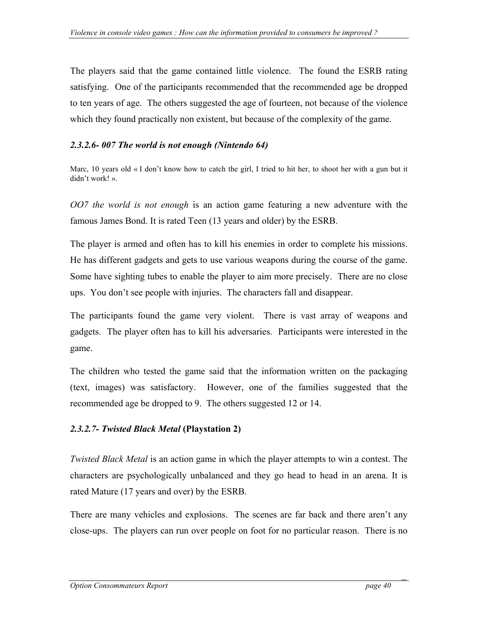The players said that the game contained little violence. The found the ESRB rating satisfying. One of the participants recommended that the recommended age be dropped to ten years of age. The others suggested the age of fourteen, not because of the violence which they found practically non existent, but because of the complexity of the game.

## *2.3.2.6- 007 The world is not enough (Nintendo 64)*

Marc, 10 years old « I don't know how to catch the girl, I tried to hit her, to shoot her with a gun but it didn't work! ».

*OO7 the world is not enough* is an action game featuring a new adventure with the famous James Bond. It is rated Teen (13 years and older) by the ESRB.

The player is armed and often has to kill his enemies in order to complete his missions. He has different gadgets and gets to use various weapons during the course of the game. Some have sighting tubes to enable the player to aim more precisely. There are no close ups. You don't see people with injuries. The characters fall and disappear.

The participants found the game very violent. There is vast array of weapons and gadgets. The player often has to kill his adversaries. Participants were interested in the game.

The children who tested the game said that the information written on the packaging (text, images) was satisfactory. However, one of the families suggested that the recommended age be dropped to 9. The others suggested 12 or 14.

## *2.3.2.7- Twisted Black Metal* **(Playstation 2)**

*Twisted Black Metal* is an action game in which the player attempts to win a contest. The characters are psychologically unbalanced and they go head to head in an arena. It is rated Mature (17 years and over) by the ESRB.

There are many vehicles and explosions. The scenes are far back and there aren't any close-ups. The players can run over people on foot for no particular reason. There is no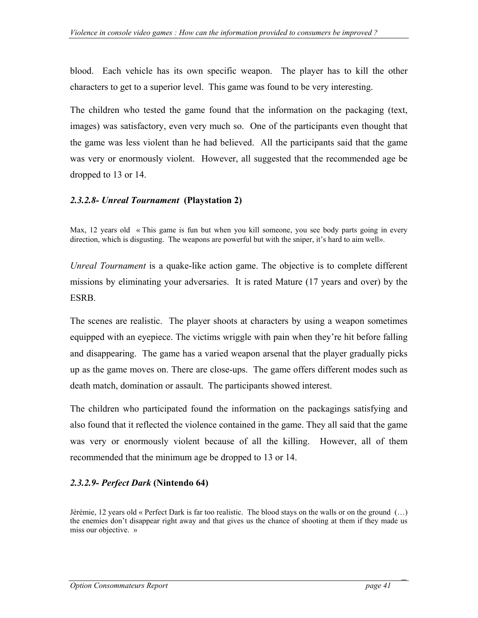blood. Each vehicle has its own specific weapon. The player has to kill the other characters to get to a superior level. This game was found to be very interesting.

The children who tested the game found that the information on the packaging (text, images) was satisfactory, even very much so. One of the participants even thought that the game was less violent than he had believed. All the participants said that the game was very or enormously violent. However, all suggested that the recommended age be dropped to 13 or 14.

#### *2.3.2.8- Unreal Tournament* **(Playstation 2)**

Max, 12 years old « This game is fun but when you kill someone, you see body parts going in every direction, which is disgusting. The weapons are powerful but with the sniper, it's hard to aim well».

*Unreal Tournament* is a quake-like action game. The objective is to complete different missions by eliminating your adversaries. It is rated Mature (17 years and over) by the ESRB.

The scenes are realistic. The player shoots at characters by using a weapon sometimes equipped with an eyepiece. The victims wriggle with pain when they're hit before falling and disappearing. The game has a varied weapon arsenal that the player gradually picks up as the game moves on. There are close-ups. The game offers different modes such as death match, domination or assault. The participants showed interest.

The children who participated found the information on the packagings satisfying and also found that it reflected the violence contained in the game. They all said that the game was very or enormously violent because of all the killing. However, all of them recommended that the minimum age be dropped to 13 or 14.

#### *2.3.2.9- Perfect Dark* **(Nintendo 64)**

Jérémie, 12 years old « Perfect Dark is far too realistic. The blood stays on the walls or on the ground (…) the enemies don't disappear right away and that gives us the chance of shooting at them if they made us miss our objective. »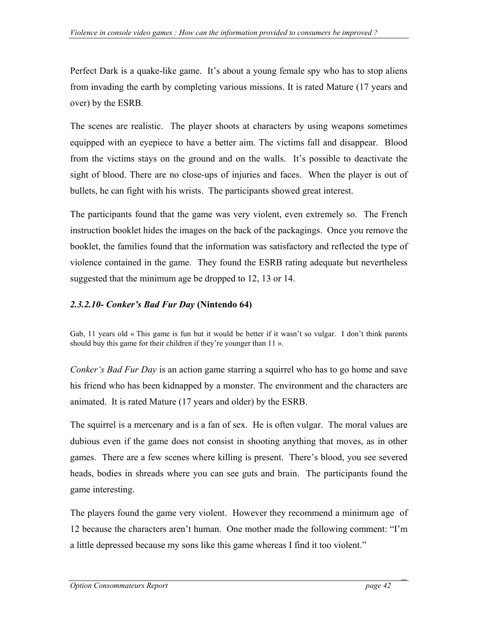Perfect Dark is a quake-like game. It's about a young female spy who has to stop aliens from invading the earth by completing various missions. It is rated Mature (17 years and over) by the ESRB.

The scenes are realistic. The player shoots at characters by using weapons sometimes equipped with an eyepiece to have a better aim. The victims fall and disappear. Blood from the victims stays on the ground and on the walls. It's possible to deactivate the sight of blood. There are no close-ups of injuries and faces. When the player is out of bullets, he can fight with his wrists. The participants showed great interest.

The participants found that the game was very violent, even extremely so. The French instruction booklet hides the images on the back of the packagings. Once you remove the booklet, the families found that the information was satisfactory and reflected the type of violence contained in the game. They found the ESRB rating adequate but nevertheless suggested that the minimum age be dropped to 12, 13 or 14.

### *2.3.2.10- Conker's Bad Fur Day* **(Nintendo 64)**

Gab, 11 years old « This game is fun but it would be better if it wasn't so vulgar. I don't think parents should buy this game for their children if they're younger than 11 ».

*Conker's Bad Fur Day* is an action game starring a squirrel who has to go home and save his friend who has been kidnapped by a monster. The environment and the characters are animated. It is rated Mature (17 years and older) by the ESRB.

The squirrel is a mercenary and is a fan of sex. He is often vulgar. The moral values are dubious even if the game does not consist in shooting anything that moves, as in other games. There are a few scenes where killing is present. There's blood, you see severed heads, bodies in shreads where you can see guts and brain. The participants found the game interesting.

The players found the game very violent. However they recommend a minimum age of 12 because the characters aren't human. One mother made the following comment: "I'm a little depressed because my sons like this game whereas I find it too violent."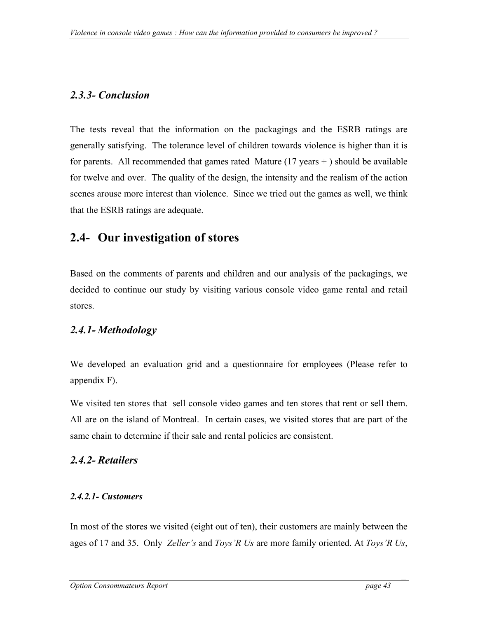## <span id="page-42-0"></span>*2.3.3- Conclusion*

The tests reveal that the information on the packagings and the ESRB ratings are generally satisfying. The tolerance level of children towards violence is higher than it is for parents. All recommended that games rated Mature  $(17 \text{ years} + )$  should be available for twelve and over. The quality of the design, the intensity and the realism of the action scenes arouse more interest than violence. Since we tried out the games as well, we think that the ESRB ratings are adequate.

# **2.4- Our investigation of stores**

Based on the comments of parents and children and our analysis of the packagings, we decided to continue our study by visiting various console video game rental and retail stores.

## *2.4.1- Methodology*

We developed an evaluation grid and a questionnaire for employees (Please refer to appendix F).

We visited ten stores that sell console video games and ten stores that rent or sell them. All are on the island of Montreal. In certain cases, we visited stores that are part of the same chain to determine if their sale and rental policies are consistent.

## *2.4.2- Retailers*

## *2.4.2.1- Customers*

In most of the stores we visited (eight out of ten), their customers are mainly between the ages of 17 and 35. Only *Zeller's* and *Toys'R Us* are more family oriented. At *Toys'R Us*,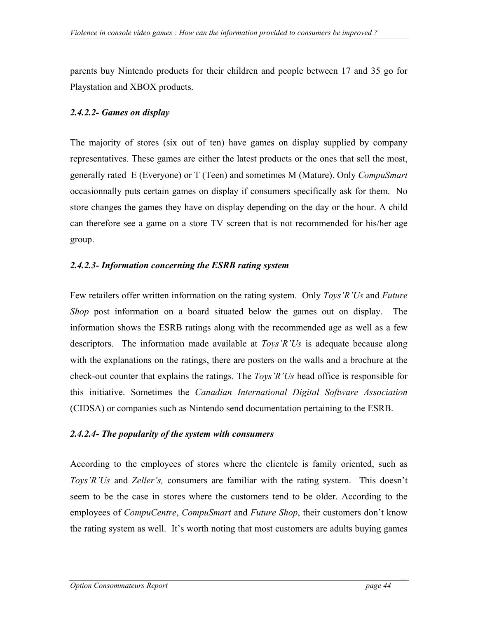parents buy Nintendo products for their children and people between 17 and 35 go for Playstation and XBOX products.

## *2.4.2.2- Games on display*

The majority of stores (six out of ten) have games on display supplied by company representatives. These games are either the latest products or the ones that sell the most, generally rated E (Everyone) or T (Teen) and sometimes M (Mature). Only *CompuSmart* occasionnally puts certain games on display if consumers specifically ask for them. No store changes the games they have on display depending on the day or the hour. A child can therefore see a game on a store TV screen that is not recommended for his/her age group.

## *2.4.2.3- Information concerning the ESRB rating system*

Few retailers offer written information on the rating system. Only *Toys'R'Us* and *Future Shop* post information on a board situated below the games out on display. The information shows the ESRB ratings along with the recommended age as well as a few descriptors. The information made available at *Toys'R'Us* is adequate because along with the explanations on the ratings, there are posters on the walls and a brochure at the check-out counter that explains the ratings. The *Toys'R'Us* head office is responsible for this initiative. Sometimes the *Canadian International Digital Software Association*  (CIDSA) or companies such as Nintendo send documentation pertaining to the ESRB.

## *2.4.2.4- The popularity of the system with consumers*

According to the employees of stores where the clientele is family oriented, such as *Toys'R'Us* and *Zeller's,* consumers are familiar with the rating system. This doesn't seem to be the case in stores where the customers tend to be older. According to the employees of *CompuCentre*, *CompuSmart* and *Future Shop*, their customers don't know the rating system as well. It's worth noting that most customers are adults buying games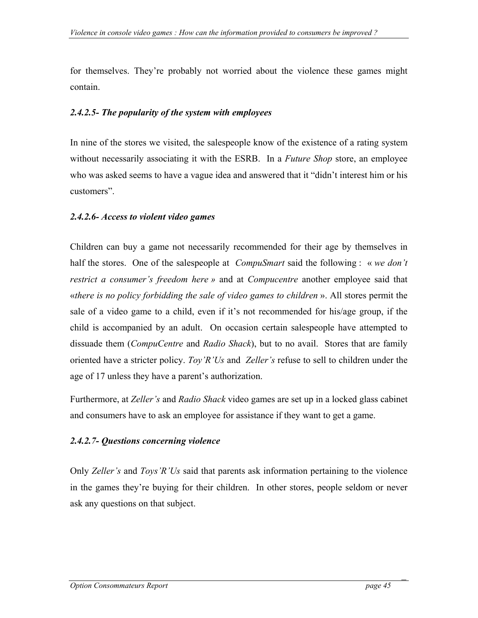for themselves. They're probably not worried about the violence these games might contain.

#### *2.4.2.5- The popularity of the system with employees*

In nine of the stores we visited, the salespeople know of the existence of a rating system without necessarily associating it with the ESRB. In a *Future Shop* store, an employee who was asked seems to have a vague idea and answered that it "didn't interest him or his customers".

#### *2.4.2.6- Access to violent video games*

Children can buy a game not necessarily recommended for their age by themselves in half the stores. One of the salespeople at *CompuSmart* said the following : « *we don't restrict a consumer's freedom here »* and at *Compucentre* another employee said that «*there is no policy forbidding the sale of video games to children* ». All stores permit the sale of a video game to a child, even if it's not recommended for his/age group, if the child is accompanied by an adult. On occasion certain salespeople have attempted to dissuade them (*CompuCentre* and *Radio Shack*), but to no avail. Stores that are family oriented have a stricter policy. *Toy'R'Us* and *Zeller's* refuse to sell to children under the age of 17 unless they have a parent's authorization.

Furthermore, at *Zeller's* and *Radio Shack* video games are set up in a locked glass cabinet and consumers have to ask an employee for assistance if they want to get a game.

## *2.4.2.7- Questions concerning violence*

Only *Zeller's* and *Toys'R'Us* said that parents ask information pertaining to the violence in the games they're buying for their children. In other stores, people seldom or never ask any questions on that subject.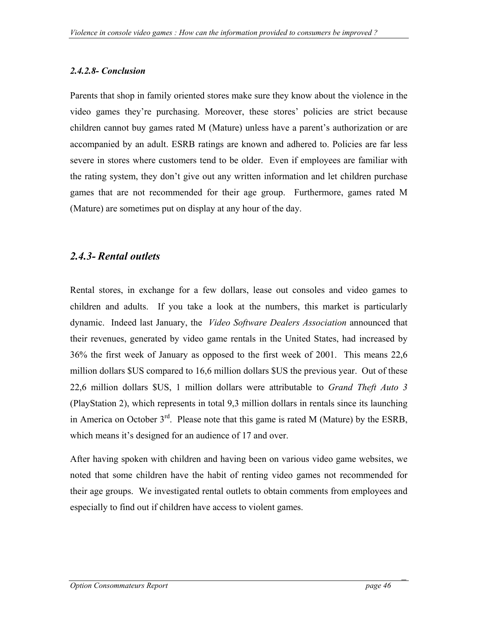## <span id="page-45-0"></span>*2.4.2.8- Conclusion*

Parents that shop in family oriented stores make sure they know about the violence in the video games they're purchasing. Moreover, these stores' policies are strict because children cannot buy games rated M (Mature) unless have a parent's authorization or are accompanied by an adult. ESRB ratings are known and adhered to. Policies are far less severe in stores where customers tend to be older. Even if employees are familiar with the rating system, they don't give out any written information and let children purchase games that are not recommended for their age group. Furthermore, games rated M (Mature) are sometimes put on display at any hour of the day.

## *2.4.3- Rental outlets*

Rental stores, in exchange for a few dollars, lease out consoles and video games to children and adults. If you take a look at the numbers, this market is particularly dynamic. Indeed last January, the *Video Software Dealers Association* announced that their revenues, generated by video game rentals in the United States, had increased by 36% the first week of January as opposed to the first week of 2001. This means 22,6 million dollars \$US compared to 16,6 million dollars \$US the previous year. Out of these 22,6 million dollars \$US, 1 million dollars were attributable to *Grand Theft Auto 3*  (PlayStation 2), which represents in total 9,3 million dollars in rentals since its launching in America on October  $3<sup>rd</sup>$ . Please note that this game is rated M (Mature) by the ESRB, which means it's designed for an audience of 17 and over.

After having spoken with children and having been on various video game websites, we noted that some children have the habit of renting video games not recommended for their age groups. We investigated rental outlets to obtain comments from employees and especially to find out if children have access to violent games.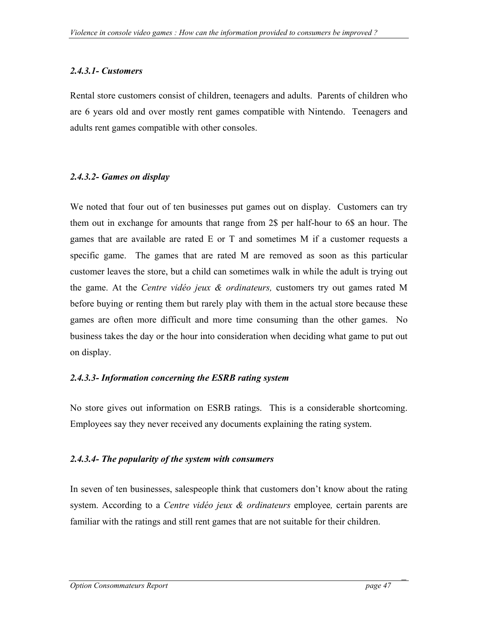## *2.4.3.1- Customers*

Rental store customers consist of children, teenagers and adults. Parents of children who are 6 years old and over mostly rent games compatible with Nintendo. Teenagers and adults rent games compatible with other consoles.

## *2.4.3.2- Games on display*

We noted that four out of ten businesses put games out on display. Customers can try them out in exchange for amounts that range from 2\$ per half-hour to 6\$ an hour. The games that are available are rated E or T and sometimes M if a customer requests a specific game. The games that are rated M are removed as soon as this particular customer leaves the store, but a child can sometimes walk in while the adult is trying out the game. At the *Centre vidéo jeux & ordinateurs,* customers try out games rated M before buying or renting them but rarely play with them in the actual store because these games are often more difficult and more time consuming than the other games. No business takes the day or the hour into consideration when deciding what game to put out on display.

## *2.4.3.3- Information concerning the ESRB rating system*

No store gives out information on ESRB ratings. This is a considerable shortcoming. Employees say they never received any documents explaining the rating system.

## *2.4.3.4- The popularity of the system with consumers*

In seven of ten businesses, salespeople think that customers don't know about the rating system. According to a *Centre vidéo jeux & ordinateurs* employee*,* certain parents are familiar with the ratings and still rent games that are not suitable for their children.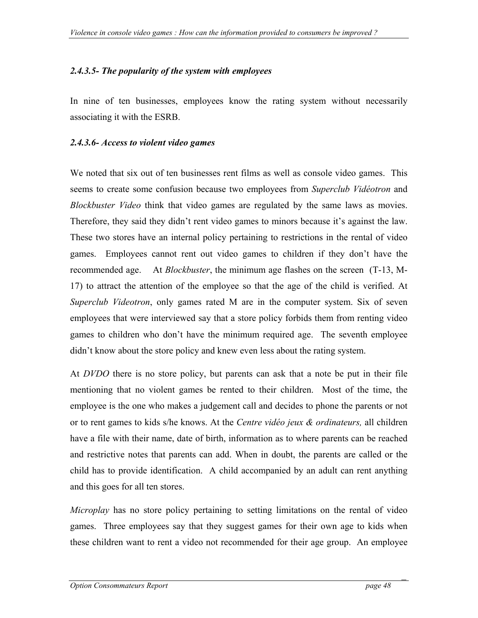## *2.4.3.5- The popularity of the system with employees*

In nine of ten businesses, employees know the rating system without necessarily associating it with the ESRB.

#### *2.4.3.6- Access to violent video games*

We noted that six out of ten businesses rent films as well as console video games. This seems to create some confusion because two employees from *Superclub Vidéotron* and *Blockbuster Video* think that video games are regulated by the same laws as movies. Therefore, they said they didn't rent video games to minors because it's against the law. These two stores have an internal policy pertaining to restrictions in the rental of video games. Employees cannot rent out video games to children if they don't have the recommended age. At *Blockbuster*, the minimum age flashes on the screen (T-13, M-17) to attract the attention of the employee so that the age of the child is verified. At *Superclub Videotron*, only games rated M are in the computer system. Six of seven employees that were interviewed say that a store policy forbids them from renting video games to children who don't have the minimum required age. The seventh employee didn't know about the store policy and knew even less about the rating system.

At *DVDO* there is no store policy, but parents can ask that a note be put in their file mentioning that no violent games be rented to their children. Most of the time, the employee is the one who makes a judgement call and decides to phone the parents or not or to rent games to kids s/he knows. At the *Centre vidéo jeux & ordinateurs,* all children have a file with their name, date of birth, information as to where parents can be reached and restrictive notes that parents can add. When in doubt, the parents are called or the child has to provide identification. A child accompanied by an adult can rent anything and this goes for all ten stores.

*Microplay* has no store policy pertaining to setting limitations on the rental of video games. Three employees say that they suggest games for their own age to kids when these children want to rent a video not recommended for their age group. An employee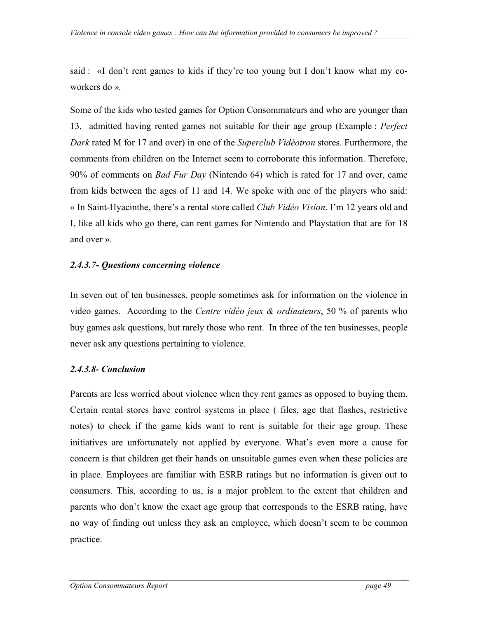said : «I don't rent games to kids if they're too young but I don't know what my coworkers do *».*

Some of the kids who tested games for Option Consommateurs and who are younger than 13, admitted having rented games not suitable for their age group (Example : *Perfect Dark* rated M for 17 and over) in one of the *Superclub Vidéotron* stores. Furthermore, the comments from children on the Internet seem to corroborate this information. Therefore, 90% of comments on *Bad Fur Day* (Nintendo 64) which is rated for 17 and over, came from kids between the ages of 11 and 14. We spoke with one of the players who said: « In Saint-Hyacinthe, there's a rental store called *Club Vidéo Vision*. I'm 12 years old and I, like all kids who go there, can rent games for Nintendo and Playstation that are for 18 and over ».

## *2.4.3.7- Questions concerning violence*

In seven out of ten businesses, people sometimes ask for information on the violence in video games. According to the *Centre vidéo jeux & ordinateurs*, 50 % of parents who buy games ask questions, but rarely those who rent. In three of the ten businesses, people never ask any questions pertaining to violence.

## *2.4.3.8- Conclusion*

Parents are less worried about violence when they rent games as opposed to buying them. Certain rental stores have control systems in place ( files, age that flashes, restrictive notes) to check if the game kids want to rent is suitable for their age group. These initiatives are unfortunately not applied by everyone. What's even more a cause for concern is that children get their hands on unsuitable games even when these policies are in place. Employees are familiar with ESRB ratings but no information is given out to consumers. This, according to us, is a major problem to the extent that children and parents who don't know the exact age group that corresponds to the ESRB rating, have no way of finding out unless they ask an employee, which doesn't seem to be common practice.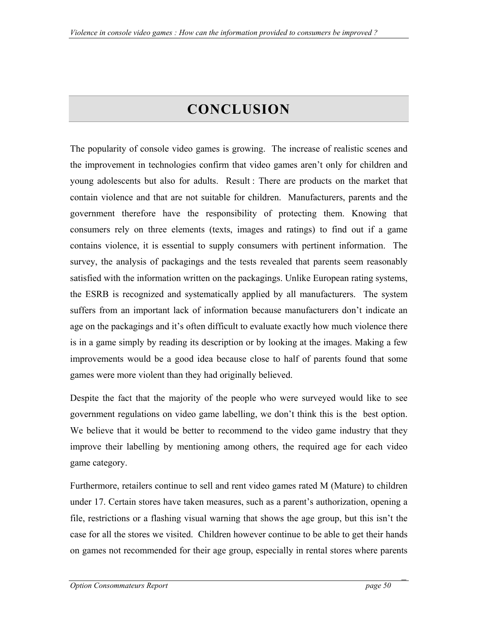# **CONCLUSION**

<span id="page-49-0"></span>The popularity of console video games is growing. The increase of realistic scenes and the improvement in technologies confirm that video games aren't only for children and young adolescents but also for adults. Result : There are products on the market that contain violence and that are not suitable for children. Manufacturers, parents and the government therefore have the responsibility of protecting them. Knowing that consumers rely on three elements (texts, images and ratings) to find out if a game contains violence, it is essential to supply consumers with pertinent information. The survey, the analysis of packagings and the tests revealed that parents seem reasonably satisfied with the information written on the packagings. Unlike European rating systems, the ESRB is recognized and systematically applied by all manufacturers. The system suffers from an important lack of information because manufacturers don't indicate an age on the packagings and it's often difficult to evaluate exactly how much violence there is in a game simply by reading its description or by looking at the images. Making a few improvements would be a good idea because close to half of parents found that some games were more violent than they had originally believed.

Despite the fact that the majority of the people who were surveyed would like to see government regulations on video game labelling, we don't think this is the best option. We believe that it would be better to recommend to the video game industry that they improve their labelling by mentioning among others, the required age for each video game category.

Furthermore, retailers continue to sell and rent video games rated M (Mature) to children under 17. Certain stores have taken measures, such as a parent's authorization, opening a file, restrictions or a flashing visual warning that shows the age group, but this isn't the case for all the stores we visited. Children however continue to be able to get their hands on games not recommended for their age group, especially in rental stores where parents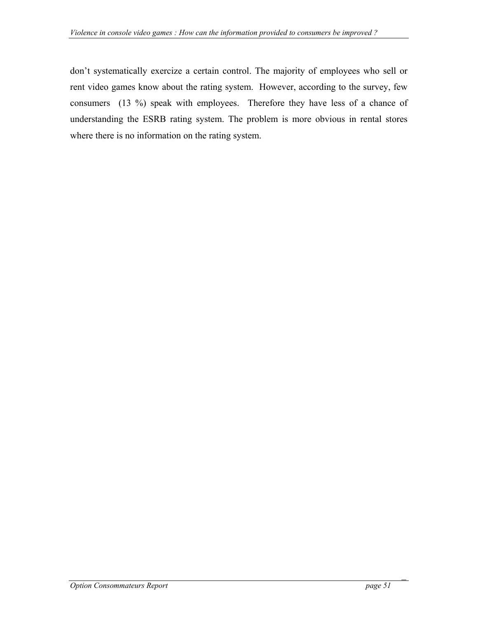don't systematically exercize a certain control. The majority of employees who sell or rent video games know about the rating system. However, according to the survey, few consumers (13 %) speak with employees. Therefore they have less of a chance of understanding the ESRB rating system. The problem is more obvious in rental stores where there is no information on the rating system.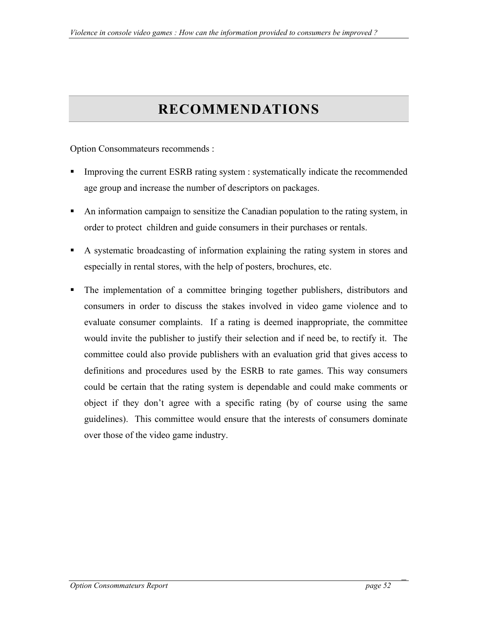# **RECOMMENDATIONS**

<span id="page-51-0"></span>Option Consommateurs recommends :

- Improving the current ESRB rating system : systematically indicate the recommended age group and increase the number of descriptors on packages.
- An information campaign to sensitize the Canadian population to the rating system, in order to protect children and guide consumers in their purchases or rentals.
- A systematic broadcasting of information explaining the rating system in stores and especially in rental stores, with the help of posters, brochures, etc.
- The implementation of a committee bringing together publishers, distributors and consumers in order to discuss the stakes involved in video game violence and to evaluate consumer complaints. If a rating is deemed inappropriate, the committee would invite the publisher to justify their selection and if need be, to rectify it. The committee could also provide publishers with an evaluation grid that gives access to definitions and procedures used by the ESRB to rate games. This way consumers could be certain that the rating system is dependable and could make comments or object if they don't agree with a specific rating (by of course using the same guidelines). This committee would ensure that the interests of consumers dominate over those of the video game industry.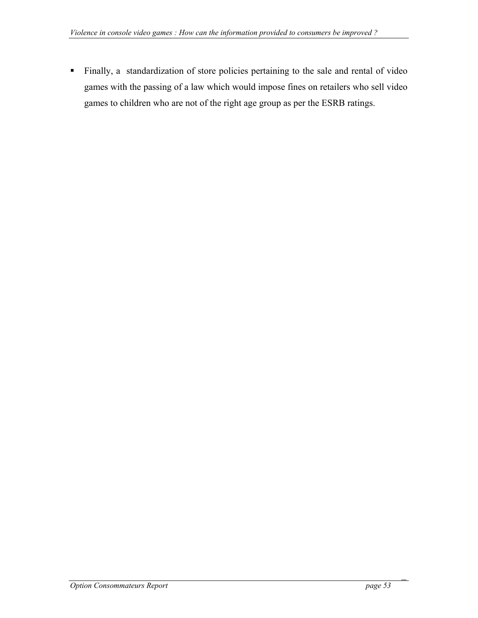Finally, a standardization of store policies pertaining to the sale and rental of video games with the passing of a law which would impose fines on retailers who sell video games to children who are not of the right age group as per the ESRB ratings.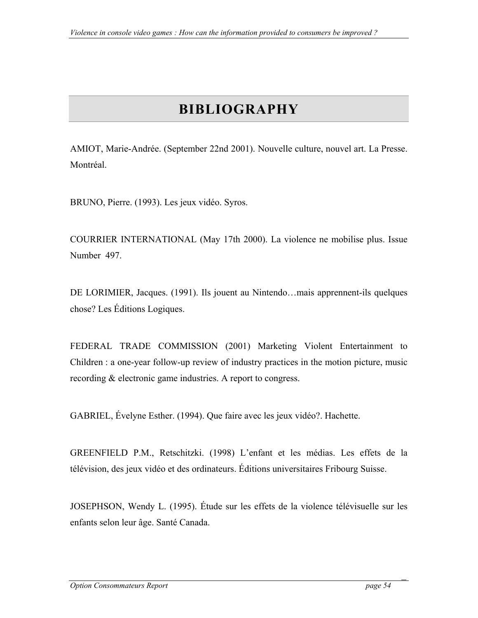# **BIBLIOGRAPHY**

<span id="page-53-0"></span>AMIOT, Marie-Andrée. (September 22nd 2001). Nouvelle culture, nouvel art. La Presse. **Montréal** 

BRUNO, Pierre. (1993). Les jeux vidéo. Syros.

COURRIER INTERNATIONAL (May 17th 2000). La violence ne mobilise plus. Issue Number 497.

DE LORIMIER, Jacques. (1991). Ils jouent au Nintendo…mais apprennent-ils quelques chose? Les Éditions Logiques.

FEDERAL TRADE COMMISSION (2001) Marketing Violent Entertainment to Children : a one-year follow-up review of industry practices in the motion picture, music recording & electronic game industries. A report to congress.

GABRIEL, Évelyne Esther. (1994). Que faire avec les jeux vidéo?. Hachette.

GREENFIELD P.M., Retschitzki. (1998) L'enfant et les médias. Les effets de la télévision, des jeux vidéo et des ordinateurs. Éditions universitaires Fribourg Suisse.

JOSEPHSON, Wendy L. (1995). Étude sur les effets de la violence télévisuelle sur les enfants selon leur âge. Santé Canada.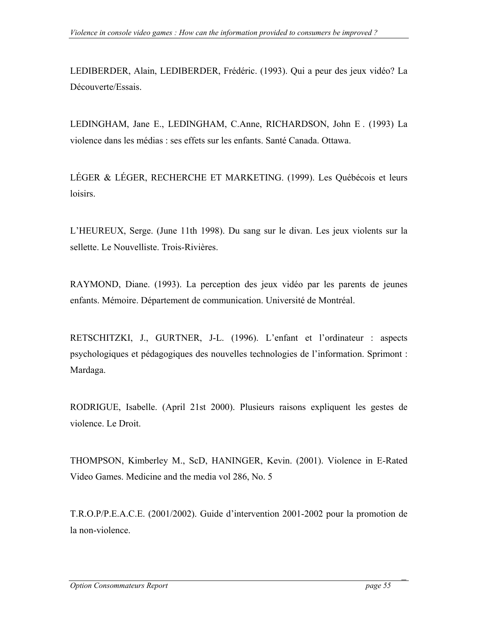LEDIBERDER, Alain, LEDIBERDER, Frédéric. (1993). Qui a peur des jeux vidéo? La Découverte/Essais.

LEDINGHAM, Jane E., LEDINGHAM, C.Anne, RICHARDSON, John E . (1993) La violence dans les médias : ses effets sur les enfants. Santé Canada. Ottawa.

LÉGER & LÉGER, RECHERCHE ET MARKETING. (1999). Les Québécois et leurs loisirs.

L'HEUREUX, Serge. (June 11th 1998). Du sang sur le divan. Les jeux violents sur la sellette. Le Nouvelliste. Trois-Rivières.

RAYMOND, Diane. (1993). La perception des jeux vidéo par les parents de jeunes enfants. Mémoire. Département de communication. Université de Montréal.

RETSCHITZKI, J., GURTNER, J-L. (1996). L'enfant et l'ordinateur : aspects psychologiques et pédagogiques des nouvelles technologies de l'information. Sprimont : Mardaga.

RODRIGUE, Isabelle. (April 21st 2000). Plusieurs raisons expliquent les gestes de violence. Le Droit.

THOMPSON, Kimberley M., ScD, HANINGER, Kevin. (2001). Violence in E-Rated Video Games. Medicine and the media vol 286, No. 5

T.R.O.P/P.E.A.C.E. (2001/2002). Guide d'intervention 2001-2002 pour la promotion de la non-violence.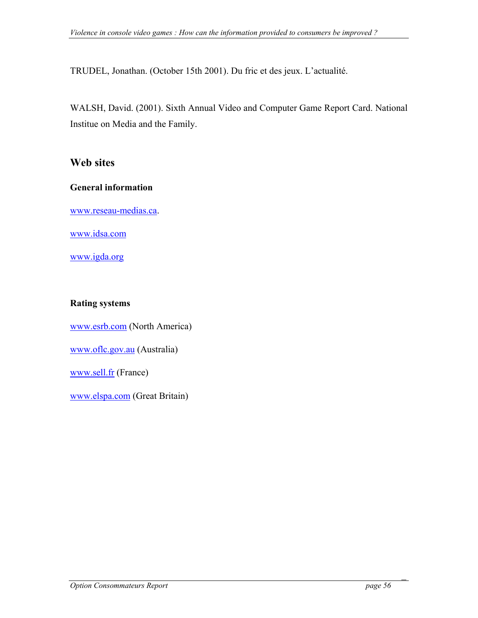TRUDEL, Jonathan. (October 15th 2001). Du fric et des jeux. L'actualité.

WALSH, David. (2001). Sixth Annual Video and Computer Game Report Card. National Institue on Media and the Family.

## **Web sites**

#### **General information**

[www.reseau-medias.ca](http://www.reseau-medias.ca/).

[www.idsa.com](http://www.idsa.com/)

[www.igda.org](http://www.igda.org/)

### **Rating systems**

[www.esrb.com](http://www.esrb.com/) (North America)

[www.oflc.gov.au](http://www.oflc.gov.au/) (Australia)

[www.sell.fr](http://www.sell.fr/) (France)

[www.elspa.com](http://www.elspa.com/) (Great Britain)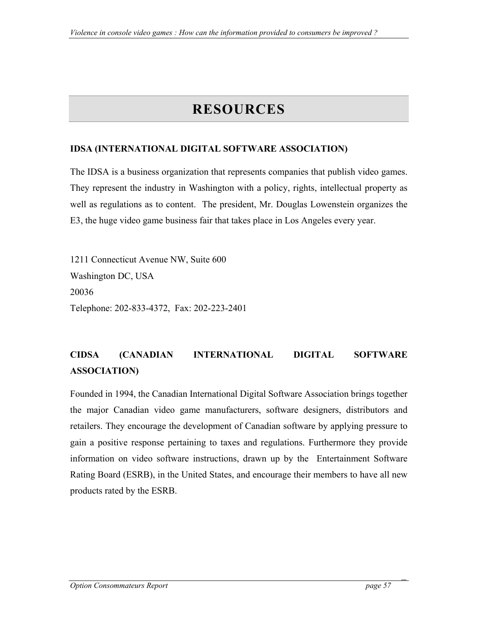# **RESOURCES**

### <span id="page-56-0"></span>**IDSA (INTERNATIONAL DIGITAL SOFTWARE ASSOCIATION)**

The IDSA is a business organization that represents companies that publish video games. They represent the industry in Washington with a policy, rights, intellectual property as well as regulations as to content. The president, Mr. Douglas Lowenstein organizes the E3, the huge video game business fair that takes place in Los Angeles every year.

1211 Connecticut Avenue NW, Suite 600 Washington DC, USA 20036 Telephone: 202-833-4372, Fax: 202-223-2401

## **CIDSA (CANADIAN INTERNATIONAL DIGITAL SOFTWARE ASSOCIATION)**

Founded in 1994, the Canadian International Digital Software Association brings together the major Canadian video game manufacturers, software designers, distributors and retailers. They encourage the development of Canadian software by applying pressure to gain a positive response pertaining to taxes and regulations. Furthermore they provide information on video software instructions, drawn up by the Entertainment Software Rating Board (ESRB), in the United States, and encourage their members to have all new products rated by the ESRB.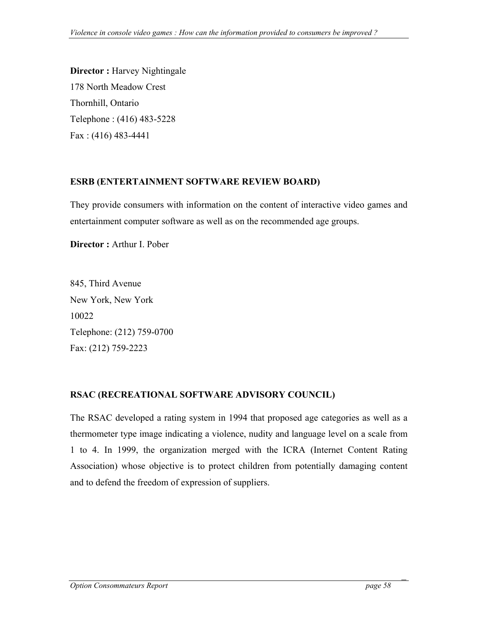<span id="page-57-0"></span>**Director :** Harvey Nightingale 178 North Meadow Crest Thornhill, Ontario Telephone : (416) 483-5228 Fax : (416) 483-4441

#### **ESRB (ENTERTAINMENT SOFTWARE REVIEW BOARD)**

They provide consumers with information on the content of interactive video games and entertainment computer software as well as on the recommended age groups.

**Director :** Arthur I. Pober

845, Third Avenue New York, New York 10022 Telephone: (212) 759-0700 Fax: (212) 759-2223

## **RSAC (RECREATIONAL SOFTWARE ADVISORY COUNCIL)**

The RSAC developed a rating system in 1994 that proposed age categories as well as a thermometer type image indicating a violence, nudity and language level on a scale from 1 to 4. In 1999, the organization merged with the ICRA (Internet Content Rating Association) whose objective is to protect children from potentially damaging content and to defend the freedom of expression of suppliers.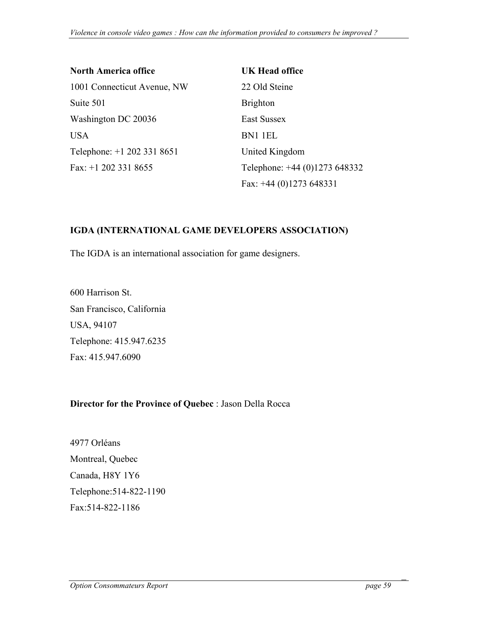| <b>North America office</b> | UK Head office                |
|-----------------------------|-------------------------------|
| 1001 Connecticut Avenue, NW | 22 Old Steine                 |
| Suite 501                   | <b>Brighton</b>               |
| Washington DC 20036         | East Sussex                   |
| <b>USA</b>                  | BN1 1EL                       |
| Telephone: +1 202 331 8651  | United Kingdom                |
| Fax: $+1$ 202 331 8655      | Telephone: +44 (0)1273 648332 |
|                             | Fax: $+44$ (0)1273 648331     |

### **IGDA (INTERNATIONAL GAME DEVELOPERS ASSOCIATION)**

The IGDA is an international association for game designers.

600 Harrison St. San Francisco, California USA, 94107 Telephone: 415.947.6235 Fax: 415.947.6090

#### **Director for the Province of Quebec** : Jason Della Rocca

4977 Orléans Montreal, Quebec Canada, H8Y 1Y6 Telephone:514-822-1190 Fax:514-822-1186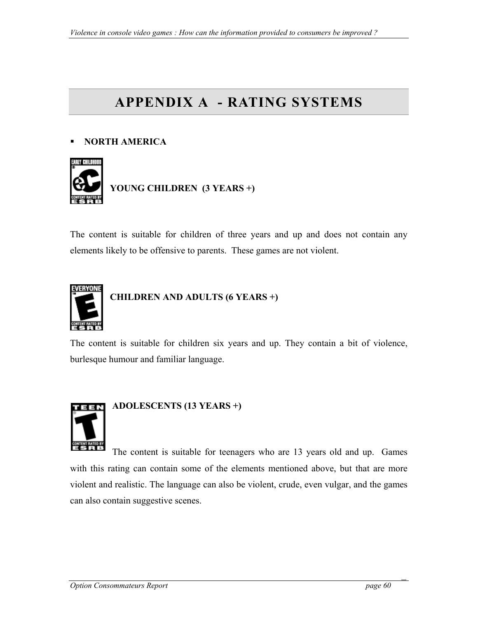# <span id="page-59-0"></span>**APPENDIX A - RATING SYSTEMS**

## **NORTH AMERICA**



The content is suitable for children of three years and up and does not contain any elements likely to be offensive to parents. These games are not violent.



## **CHILDREN AND ADULTS (6 YEARS +)**

The content is suitable for children six years and up. They contain a bit of violence, burlesque humour and familiar language.



The content is suitable for teenagers who are 13 years old and up. Games with this rating can contain some of the elements mentioned above, but that are more violent and realistic. The language can also be violent, crude, even vulgar, and the games can also contain suggestive scenes.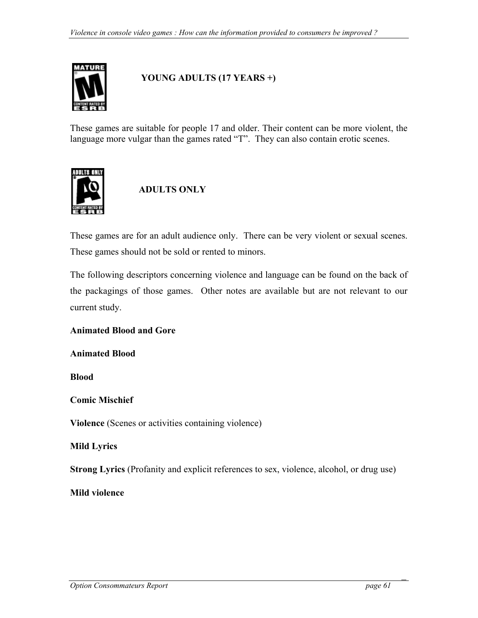

## **YOUNG ADULTS (17 YEARS +)**

These games are suitable for people 17 and older. Their content can be more violent, the language more vulgar than the games rated "T". They can also contain erotic scenes.



## **ADULTS ONLY**

These games are for an adult audience only. There can be very violent or sexual scenes. These games should not be sold or rented to minors.

The following descriptors concerning violence and language can be found on the back of the packagings of those games. Other notes are available but are not relevant to our current study.

#### **Animated Blood and Gore**

**Animated Blood**

**Blood**

#### **Comic Mischief**

**Violence** (Scenes or activities containing violence)

#### **Mild Lyrics**

**Strong Lyrics** (Profanity and explicit references to sex, violence, alcohol, or drug use)

#### **Mild violence**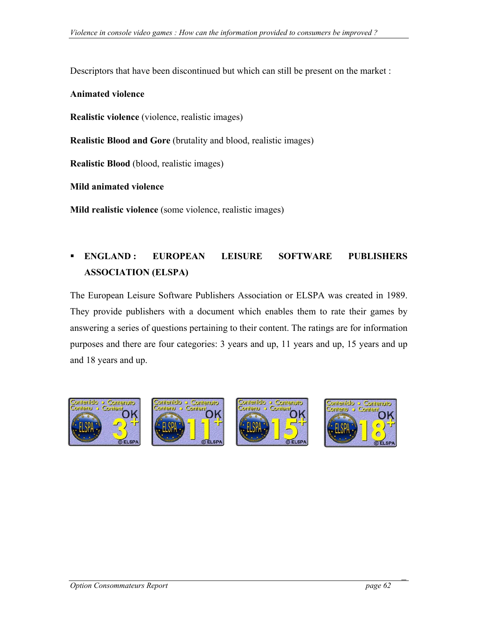Descriptors that have been discontinued but which can still be present on the market :

#### **Animated violence**

**Realistic violence** (violence, realistic images)

**Realistic Blood and Gore** (brutality and blood, realistic images)

**Realistic Blood** (blood, realistic images)

**Mild animated violence**

**Mild realistic violence** (some violence, realistic images)

## **ENGLAND : EUROPEAN LEISURE SOFTWARE PUBLISHERS ASSOCIATION (ELSPA)**

The European Leisure Software Publishers Association or ELSPA was created in 1989. They provide publishers with a document which enables them to rate their games by answering a series of questions pertaining to their content. The ratings are for information purposes and there are four categories: 3 years and up, 11 years and up, 15 years and up and 18 years and up.

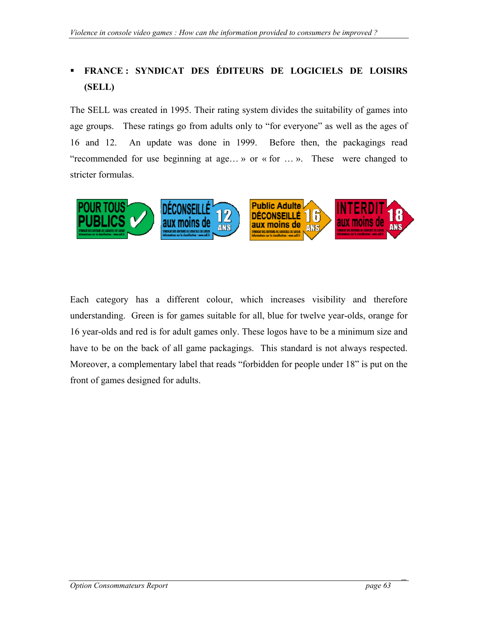## **FRANCE : SYNDICAT DES ÉDITEURS DE LOGICIELS DE LOISIRS (SELL)**

The SELL was created in 1995. Their rating system divides the suitability of games into age groups. These ratings go from adults only to "for everyone" as well as the ages of 16 and 12. An update was done in 1999. Before then, the packagings read "recommended for use beginning at age… » or « for … ». These were changed to stricter formulas.



Each category has a different colour, which increases visibility and therefore understanding. Green is for games suitable for all, blue for twelve year-olds, orange for 16 year-olds and red is for adult games only. These logos have to be a minimum size and have to be on the back of all game packagings. This standard is not always respected. Moreover, a complementary label that reads "forbidden for people under 18" is put on the front of games designed for adults.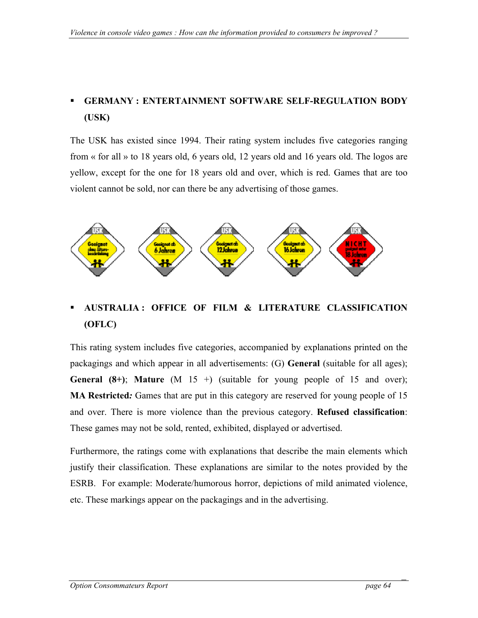## **GERMANY : ENTERTAINMENT SOFTWARE SELF-REGULATION BODY (USK)**

The USK has existed since 1994. Their rating system includes five categories ranging from « for all » to 18 years old, 6 years old, 12 years old and 16 years old. The logos are yellow, except for the one for 18 years old and over, which is red. Games that are too violent cannot be sold, nor can there be any advertising of those games.



## **AUSTRALIA : OFFICE OF FILM & LITERATURE CLASSIFICATION (OFLC)**

This rating system includes five categories, accompanied by explanations printed on the packagings and which appear in all advertisements: (G) **General** (suitable for all ages); **General (8+)**; **Mature** (M 15 +) (suitable for young people of 15 and over); **MA Restricted***:* Games that are put in this category are reserved for young people of 15 and over. There is more violence than the previous category. **Refused classification**: These games may not be sold, rented, exhibited, displayed or advertised.

Furthermore, the ratings come with explanations that describe the main elements which justify their classification. These explanations are similar to the notes provided by the ESRB. For example: Moderate/humorous horror, depictions of mild animated violence, etc. These markings appear on the packagings and in the advertising.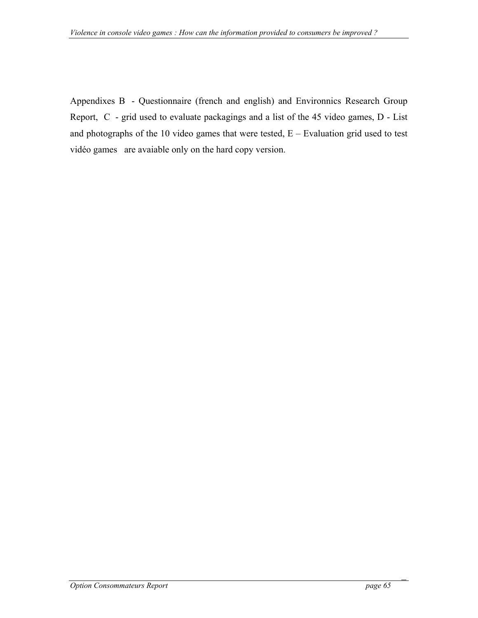Appendixes B - Questionnaire (french and english) and Environnics Research Group Report, C - grid used to evaluate packagings and a list of the 45 video games, D - List and photographs of the 10 video games that were tested,  $E -$  Evaluation grid used to test vidéo games are avaiable only on the hard copy version.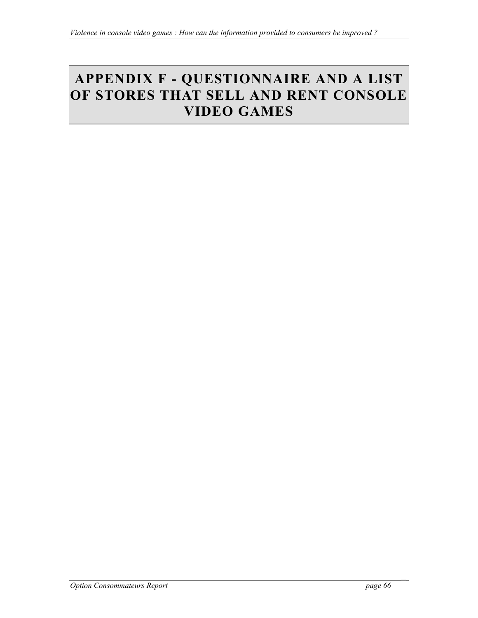# <span id="page-65-0"></span>**APPENDIX F - QUESTIONNAIRE AND A LIST OF STORES THAT SELL AND RENT CONSOLE VIDEO GAMES**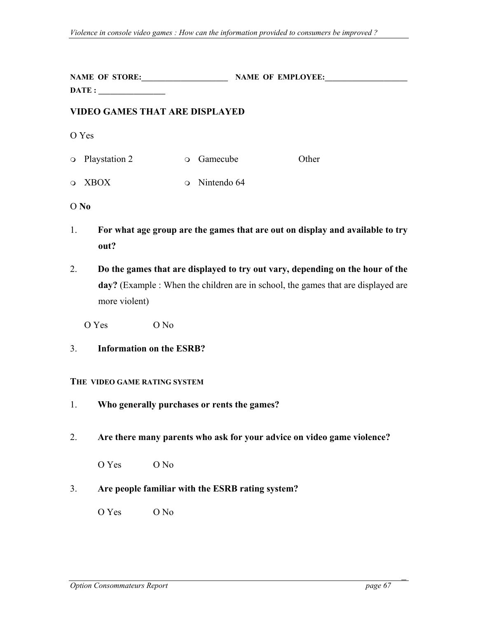|                                       | NAME OF STORE:<br>$\text{DATE}:$ |         | <b>NAME OF EMPLOYEE:</b> |       |  |  |  |
|---------------------------------------|----------------------------------|---------|--------------------------|-------|--|--|--|
| <b>VIDEO GAMES THAT ARE DISPLAYED</b> |                                  |         |                          |       |  |  |  |
| O Yes                                 |                                  |         |                          |       |  |  |  |
|                                       | • Playstation 2                  | $\circ$ | Gamecube                 | Other |  |  |  |
|                                       | o XBOX                           |         | $\circ$ Nintendo 64      |       |  |  |  |
| O No                                  |                                  |         |                          |       |  |  |  |

- 1. **For what age group are the games that are out on display and available to try out?**
- 2. **Do the games that are displayed to try out vary, depending on the hour of the day?** (Example : When the children are in school, the games that are displayed are more violent)
	- Ο Yes Ο No
- 3. **Information on the ESRB?**

#### **THE VIDEO GAME RATING SYSTEM**

- 1. **Who generally purchases or rents the games?**
- 2. **Are there many parents who ask for your advice on video game violence?**

Ο Yes Ο No

#### 3. **Are people familiar with the ESRB rating system?**

Ο Yes Ο No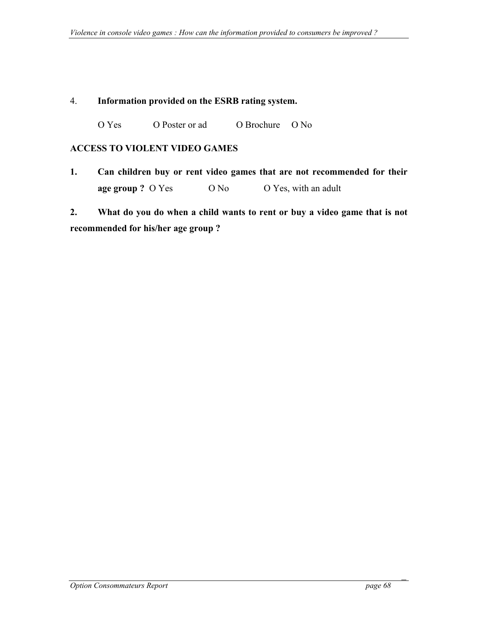### <span id="page-67-0"></span>4. **Information provided on the ESRB rating system.**

Ο Yes Ο Poster or ad Ο Brochure Ο No

#### **ACCESS TO VIOLENT VIDEO GAMES**

**1. Can children buy or rent video games that are not recommended for their age group ?** O Yes **O No O Yes, with an adult** 

**2. What do you do when a child wants to rent or buy a video game that is not recommended for his/her age group ?**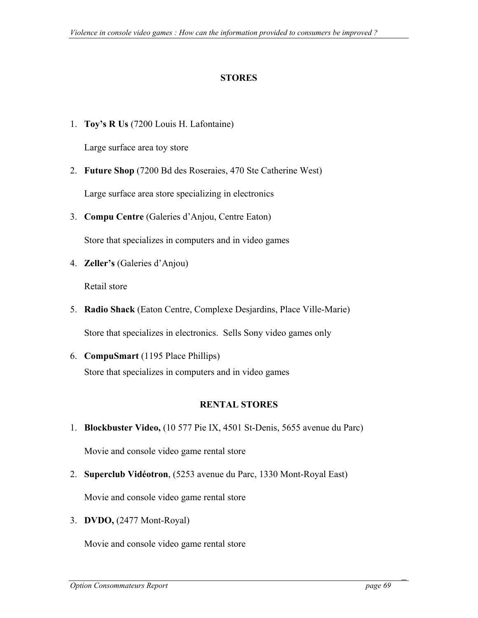## **STORES**

1. **Toy's R Us** (7200 Louis H. Lafontaine)

Large surface area toy store

2. **Future Shop** (7200 Bd des Roseraies, 470 Ste Catherine West)

Large surface area store specializing in electronics

3. **Compu Centre** (Galeries d'Anjou, Centre Eaton)

Store that specializes in computers and in video games

4. **Zeller's** (Galeries d'Anjou)

Retail store

- 5. **Radio Shack** (Eaton Centre, Complexe Desjardins, Place Ville-Marie) Store that specializes in electronics. Sells Sony video games only
- 6. **CompuSmart** (1195 Place Phillips) Store that specializes in computers and in video games

## **RENTAL STORES**

1. **Blockbuster Video,** (10 577 Pie IX, 4501 St-Denis, 5655 avenue du Parc)

Movie and console video game rental store

2. **Superclub Vidéotron**, (5253 avenue du Parc, 1330 Mont-Royal East)

Movie and console video game rental store

3. **DVDO,** (2477 Mont-Royal)

Movie and console video game rental store